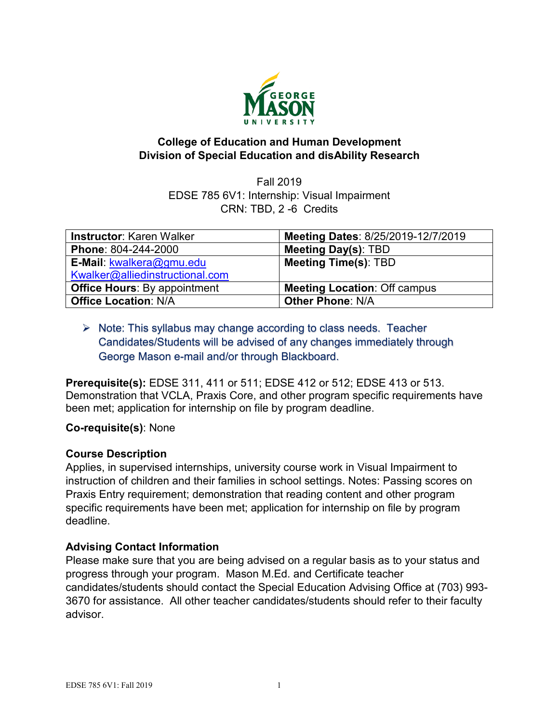

## **College of Education and Human Development Division of Special Education and disAbility Research**

Fall 2019 EDSE 785 6V1: Internship: Visual Impairment CRN: TBD, 2 -6 Credits

| <b>Instructor: Karen Walker</b>     | Meeting Dates: 8/25/2019-12/7/2019  |
|-------------------------------------|-------------------------------------|
| Phone: 804-244-2000                 | <b>Meeting Day(s): TBD</b>          |
| E-Mail: kwalkera@gmu.edu            | <b>Meeting Time(s): TBD</b>         |
| Kwalker@alliedinstructional.com     |                                     |
| <b>Office Hours: By appointment</b> | <b>Meeting Location: Off campus</b> |
| <b>Office Location: N/A</b>         | <b>Other Phone: N/A</b>             |

## $\triangleright$  Note: This syllabus may change according to class needs. Teacher Candidates/Students will be advised of any changes immediately through George Mason e-mail and/or through Blackboard.

**Prerequisite(s):** EDSE 311, 411 or 511; EDSE 412 or 512; EDSE 413 or 513. Demonstration that VCLA, Praxis Core, and other program specific requirements have been met; application for internship on file by program deadline.

#### **Co-requisite(s)**: None

## **Course Description**

Applies, in supervised internships, university course work in Visual Impairment to instruction of children and their families in school settings. Notes: Passing scores on Praxis Entry requirement; demonstration that reading content and other program specific requirements have been met; application for internship on file by program deadline.

#### **Advising Contact Information**

Please make sure that you are being advised on a regular basis as to your status and progress through your program. Mason M.Ed. and Certificate teacher candidates/students should contact the Special Education Advising Office at (703) 993- 3670 for assistance. All other teacher candidates/students should refer to their faculty advisor.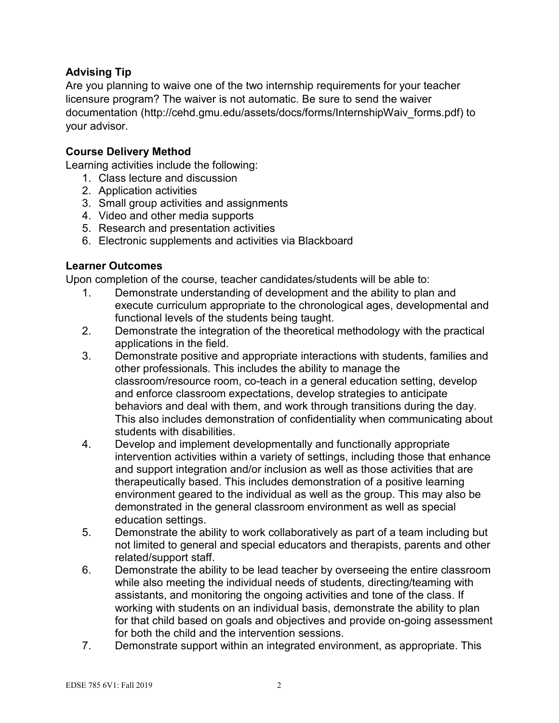## **Advising Tip**

Are you planning to waive one of the two internship requirements for your teacher licensure program? The waiver is not automatic. Be sure to send the waiver documentation (http://cehd.gmu.edu/assets/docs/forms/InternshipWaiv\_forms.pdf) to your advisor.

## **Course Delivery Method**

Learning activities include the following:

- 1. Class lecture and discussion
- 2. Application activities
- 3. Small group activities and assignments
- 4. Video and other media supports
- 5. Research and presentation activities
- 6. Electronic supplements and activities via Blackboard

#### **Learner Outcomes**

Upon completion of the course, teacher candidates/students will be able to:

- 1. Demonstrate understanding of development and the ability to plan and execute curriculum appropriate to the chronological ages, developmental and functional levels of the students being taught.
- 2. Demonstrate the integration of the theoretical methodology with the practical applications in the field.
- 3. Demonstrate positive and appropriate interactions with students, families and other professionals. This includes the ability to manage the classroom/resource room, co-teach in a general education setting, develop and enforce classroom expectations, develop strategies to anticipate behaviors and deal with them, and work through transitions during the day. This also includes demonstration of confidentiality when communicating about students with disabilities.
- 4. Develop and implement developmentally and functionally appropriate intervention activities within a variety of settings, including those that enhance and support integration and/or inclusion as well as those activities that are therapeutically based. This includes demonstration of a positive learning environment geared to the individual as well as the group. This may also be demonstrated in the general classroom environment as well as special education settings.
- 5. Demonstrate the ability to work collaboratively as part of a team including but not limited to general and special educators and therapists, parents and other related/support staff.
- 6. Demonstrate the ability to be lead teacher by overseeing the entire classroom while also meeting the individual needs of students, directing/teaming with assistants, and monitoring the ongoing activities and tone of the class. If working with students on an individual basis, demonstrate the ability to plan for that child based on goals and objectives and provide on-going assessment for both the child and the intervention sessions.
- 7. Demonstrate support within an integrated environment, as appropriate. This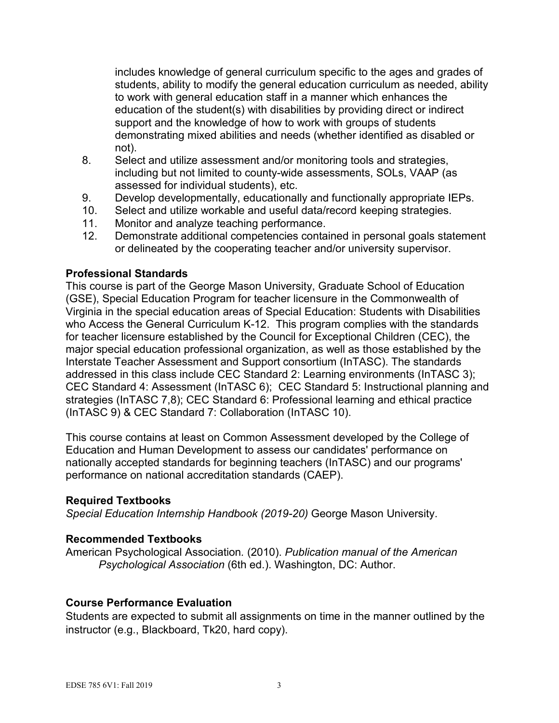includes knowledge of general curriculum specific to the ages and grades of students, ability to modify the general education curriculum as needed, ability to work with general education staff in a manner which enhances the education of the student(s) with disabilities by providing direct or indirect support and the knowledge of how to work with groups of students demonstrating mixed abilities and needs (whether identified as disabled or not).

- 8. Select and utilize assessment and/or monitoring tools and strategies, including but not limited to county-wide assessments, SOLs, VAAP (as assessed for individual students), etc.
- 9. Develop developmentally, educationally and functionally appropriate IEPs.
- 10. Select and utilize workable and useful data/record keeping strategies.
- 11. Monitor and analyze teaching performance.
- 12. Demonstrate additional competencies contained in personal goals statement or delineated by the cooperating teacher and/or university supervisor.

#### **Professional Standards**

This course is part of the George Mason University, Graduate School of Education (GSE), Special Education Program for teacher licensure in the Commonwealth of Virginia in the special education areas of Special Education: Students with Disabilities who Access the General Curriculum K-12. This program complies with the standards for teacher licensure established by the Council for Exceptional Children (CEC), the major special education professional organization, as well as those established by the Interstate Teacher Assessment and Support consortium (InTASC). The standards addressed in this class include CEC Standard 2: Learning environments (InTASC 3); CEC Standard 4: Assessment (InTASC 6); CEC Standard 5: Instructional planning and strategies (InTASC 7,8); CEC Standard 6: Professional learning and ethical practice (InTASC 9) & CEC Standard 7: Collaboration (InTASC 10).

This course contains at least on Common Assessment developed by the College of Education and Human Development to assess our candidates' performance on nationally accepted standards for beginning teachers (InTASC) and our programs' performance on national accreditation standards (CAEP).

#### **Required Textbooks**

*Special Education Internship Handbook (2019-20)* George Mason University.

#### **Recommended Textbooks**

American Psychological Association*.* (2010). *Publication manual of the American Psychological Association* (6th ed.). Washington, DC: Author.

#### **Course Performance Evaluation**

Students are expected to submit all assignments on time in the manner outlined by the instructor (e.g., Blackboard, Tk20, hard copy).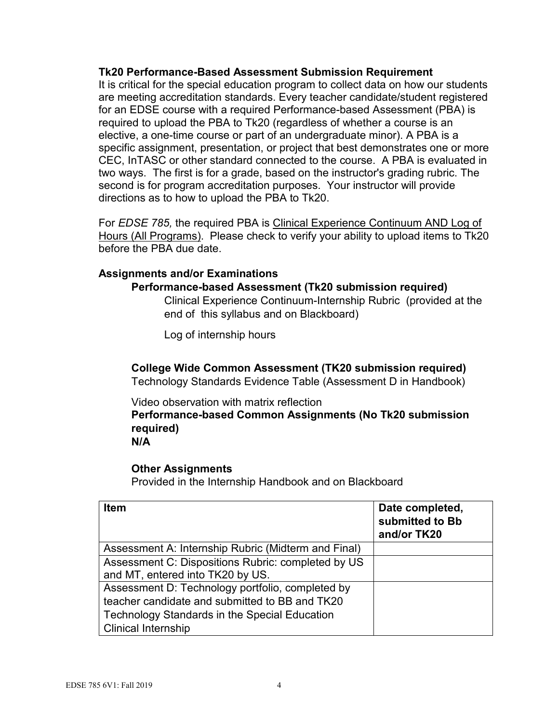#### **Tk20 Performance-Based Assessment Submission Requirement**

It is critical for the special education program to collect data on how our students are meeting accreditation standards. Every teacher candidate/student registered for an EDSE course with a required Performance-based Assessment (PBA) is required to upload the PBA to Tk20 (regardless of whether a course is an elective, a one-time course or part of an undergraduate minor). A PBA is a specific assignment, presentation, or project that best demonstrates one or more CEC, InTASC or other standard connected to the course. A PBA is evaluated in two ways. The first is for a grade, based on the instructor's grading rubric. The second is for program accreditation purposes. Your instructor will provide directions as to how to upload the PBA to Tk20.

For *EDSE 785,* the required PBA is Clinical Experience Continuum AND Log of Hours (All Programs). Please check to verify your ability to upload items to Tk20 before the PBA due date.

#### **Assignments and/or Examinations**

#### **Performance-based Assessment (Tk20 submission required)**

Clinical Experience Continuum-Internship Rubric (provided at the end of this syllabus and on Blackboard)

Log of internship hours

**College Wide Common Assessment (TK20 submission required)** Technology Standards Evidence Table (Assessment D in Handbook)

Video observation with matrix reflection **Performance-based Common Assignments (No Tk20 submission required)**

**N/A**

#### **Other Assignments**

Provided in the Internship Handbook and on Blackboard

| <b>Item</b>                                          | Date completed,<br>submitted to Bb<br>and/or TK20 |
|------------------------------------------------------|---------------------------------------------------|
| Assessment A: Internship Rubric (Midterm and Final)  |                                                   |
| Assessment C: Dispositions Rubric: completed by US   |                                                   |
| and MT, entered into TK20 by US.                     |                                                   |
| Assessment D: Technology portfolio, completed by     |                                                   |
| teacher candidate and submitted to BB and TK20       |                                                   |
| <b>Technology Standards in the Special Education</b> |                                                   |
| <b>Clinical Internship</b>                           |                                                   |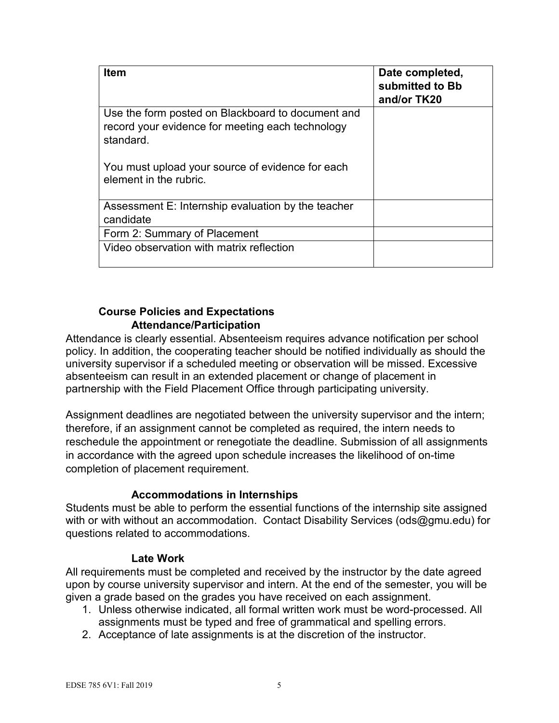| <b>Item</b>                                                                                                        | Date completed,<br>submitted to Bb<br>and/or TK20 |
|--------------------------------------------------------------------------------------------------------------------|---------------------------------------------------|
| Use the form posted on Blackboard to document and<br>record your evidence for meeting each technology<br>standard. |                                                   |
| You must upload your source of evidence for each<br>element in the rubric.                                         |                                                   |
| Assessment E: Internship evaluation by the teacher<br>candidate                                                    |                                                   |
| Form 2: Summary of Placement                                                                                       |                                                   |
| Video observation with matrix reflection                                                                           |                                                   |

## **Course Policies and Expectations Attendance/Participation**

Attendance is clearly essential. Absenteeism requires advance notification per school policy. In addition, the cooperating teacher should be notified individually as should the university supervisor if a scheduled meeting or observation will be missed. Excessive absenteeism can result in an extended placement or change of placement in partnership with the Field Placement Office through participating university.

Assignment deadlines are negotiated between the university supervisor and the intern; therefore, if an assignment cannot be completed as required, the intern needs to reschedule the appointment or renegotiate the deadline. Submission of all assignments in accordance with the agreed upon schedule increases the likelihood of on-time completion of placement requirement.

## **Accommodations in Internships**

Students must be able to perform the essential functions of the internship site assigned with or with without an accommodation. Contact Disability Services [\(ods@gmu.edu\)](mailto:ods@gmu.edu) for questions related to accommodations.

## **Late Work**

All requirements must be completed and received by the instructor by the date agreed upon by course university supervisor and intern. At the end of the semester, you will be given a grade based on the grades you have received on each assignment.

- 1. Unless otherwise indicated, all formal written work must be word-processed. All assignments must be typed and free of grammatical and spelling errors.
- 2. Acceptance of late assignments is at the discretion of the instructor.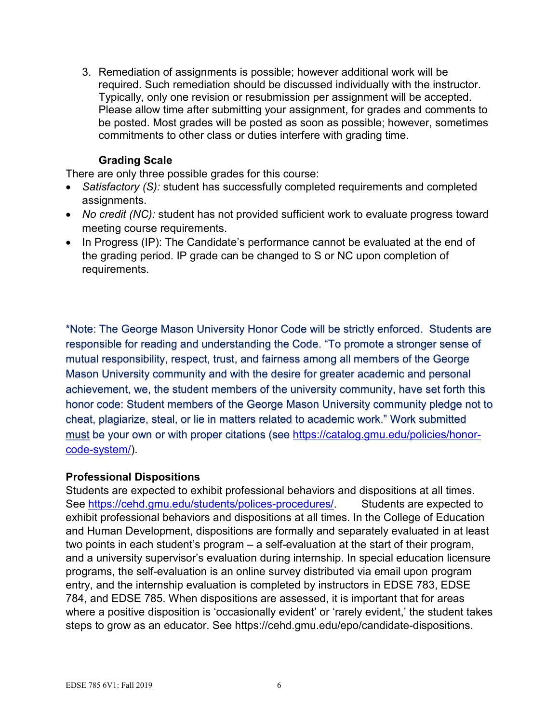3. Remediation of assignments is possible; however additional work will be required. Such remediation should be discussed individually with the instructor. Typically, only one revision or resubmission per assignment will be accepted. Please allow time after submitting your assignment, for grades and comments to be posted. Most grades will be posted as soon as possible; however, sometimes commitments to other class or duties interfere with grading time.

## **Grading Scale**

There are only three possible grades for this course:

- *Satisfactory (S):* student has successfully completed requirements and completed assignments.
- *No credit (NC):* student has not provided sufficient work to evaluate progress toward meeting course requirements.
- In Progress (IP): The Candidate's performance cannot be evaluated at the end of the grading period. IP grade can be changed to S or NC upon completion of requirements.

\*Note: The George Mason University Honor Code will be strictly enforced. Students are responsible for reading and understanding the Code. "To promote a stronger sense of mutual responsibility, respect, trust, and fairness among all members of the George Mason University community and with the desire for greater academic and personal achievement, we, the student members of the university community, have set forth this honor code: Student members of the George Mason University community pledge not to cheat, plagiarize, steal, or lie in matters related to academic work." Work submitted must be your own or with proper citations (see [https://catalog.gmu.edu/policies/honor](https://catalog.gmu.edu/policies/honor-code-system/)[code-system/\)](https://catalog.gmu.edu/policies/honor-code-system/).

## **Professional Dispositions**

Students are expected to exhibit professional behaviors and dispositions at all times. See [https://cehd.gmu.edu/students/polices-procedures/.](https://cehd.gmu.edu/students/polices-procedures/) Students are expected to exhibit professional behaviors and dispositions at all times. In the College of Education and Human Development, dispositions are formally and separately evaluated in at least two points in each student's program – a self-evaluation at the start of their program, and a university supervisor's evaluation during internship. In special education licensure programs, the self-evaluation is an online survey distributed via email upon program entry, and the internship evaluation is completed by instructors in EDSE 783, EDSE 784, and EDSE 785. When dispositions are assessed, it is important that for areas where a positive disposition is 'occasionally evident' or 'rarely evident,' the student takes steps to grow as an educator. See https://cehd.gmu.edu/epo/candidate-dispositions.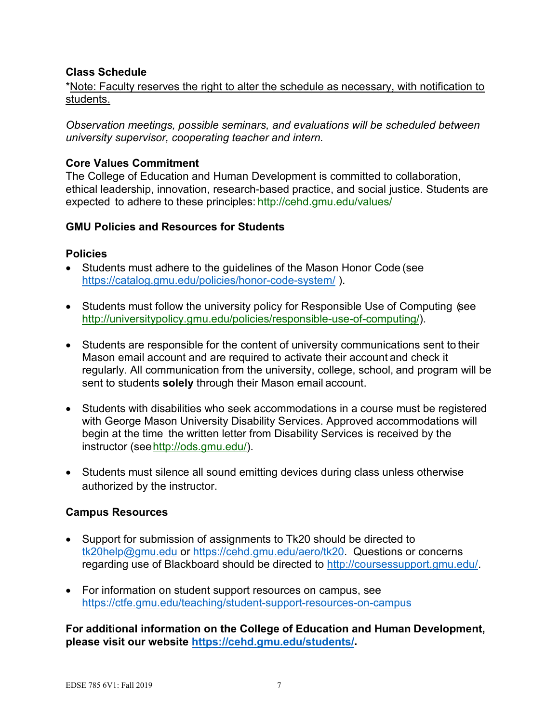## **Class Schedule**

\*Note: Faculty reserves the right to alter the schedule as necessary, with notification to students.

*Observation meetings, possible seminars, and evaluations will be scheduled between university supervisor, cooperating teacher and intern.*

## **Core Values Commitment**

The College of Education and Human Development is committed to collaboration, ethical leadership, innovation, research-based practice, and social justice. Students are expected to adhere to these principles: <http://cehd.gmu.edu/values/>

#### **GMU Policies and Resources for Students**

#### **Policies**

- Students must adhere to the guidelines of the Mason Honor Code (see <https://catalog.gmu.edu/policies/honor-code-system/> ).
- Students must follow the university policy for Responsible Use of Computing (see [http://universitypolicy.gmu.edu/policies/responsible-use-of-computing/\)](http://universitypolicy.gmu.edu/policies/responsible-use-of-computing/).
- Students are responsible for the content of university communications sent to their Mason email account and are required to activate their account and check it regularly. All communication from the university, college, school, and program will be sent to students **solely** through their Mason email account.
- Students with disabilities who seek accommodations in a course must be registered with George Mason University Disability Services. Approved accommodations will begin at the time the written letter from Disability Services is received by the instructor (se[ehttp://ods.gmu.edu/\)](http://ods.gmu.edu/).
- Students must silence all sound emitting devices during class unless otherwise authorized by the instructor.

## **Campus Resources**

- Support for submission of assignments to Tk20 should be directed to [tk20help@gmu.edu](mailto:tk20help@gmu.edu) or [https://cehd.gmu.edu/aero/tk20.](https://cehd.gmu.edu/aero/tk20) Questions or concerns regarding use of Blackboard should be directed to [http://coursessupport.gmu.edu/.](http://coursessupport.gmu.edu/)
- For information on student support resources on campus, see <https://ctfe.gmu.edu/teaching/student-support-resources-on-campus>

**For additional information on the College of Education and Human Development, please visit our website [https://cehd.gmu.edu/students/.](https://cehd.gmu.edu/students/)**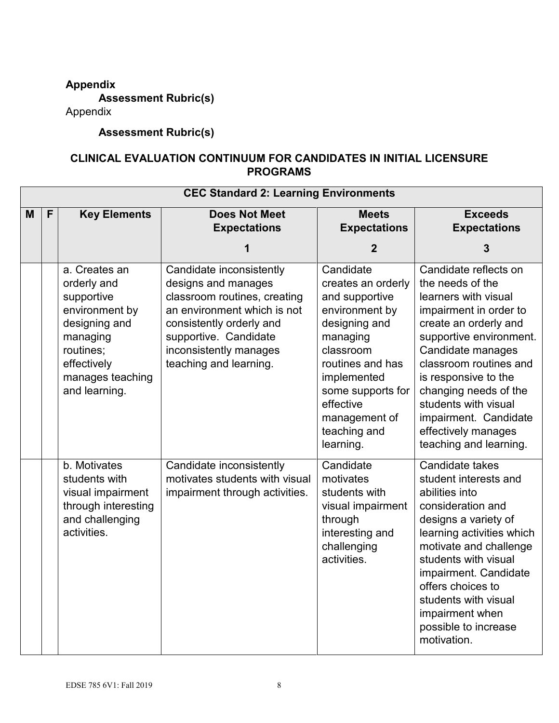# **Appendix**

**Assessment Rubric(s)**

Appendix

# **Assessment Rubric(s)**

## **CLINICAL EVALUATION CONTINUUM FOR CANDIDATES IN INITIAL LICENSURE PROGRAMS**

|   | <b>CEC Standard 2: Learning Environments</b> |                                                                                                                                                            |                                                                                                                                                                                                                         |                                                                                                                                                                                                                                  |                                                                                                                                                                                                                                                                                                                                                   |
|---|----------------------------------------------|------------------------------------------------------------------------------------------------------------------------------------------------------------|-------------------------------------------------------------------------------------------------------------------------------------------------------------------------------------------------------------------------|----------------------------------------------------------------------------------------------------------------------------------------------------------------------------------------------------------------------------------|---------------------------------------------------------------------------------------------------------------------------------------------------------------------------------------------------------------------------------------------------------------------------------------------------------------------------------------------------|
| M | F                                            | <b>Key Elements</b>                                                                                                                                        | <b>Does Not Meet</b><br><b>Expectations</b>                                                                                                                                                                             | <b>Meets</b><br><b>Expectations</b>                                                                                                                                                                                              | <b>Exceeds</b><br><b>Expectations</b>                                                                                                                                                                                                                                                                                                             |
|   |                                              |                                                                                                                                                            |                                                                                                                                                                                                                         | $\boldsymbol{2}$                                                                                                                                                                                                                 | 3                                                                                                                                                                                                                                                                                                                                                 |
|   |                                              | a. Creates an<br>orderly and<br>supportive<br>environment by<br>designing and<br>managing<br>routines;<br>effectively<br>manages teaching<br>and learning. | Candidate inconsistently<br>designs and manages<br>classroom routines, creating<br>an environment which is not<br>consistently orderly and<br>supportive. Candidate<br>inconsistently manages<br>teaching and learning. | Candidate<br>creates an orderly<br>and supportive<br>environment by<br>designing and<br>managing<br>classroom<br>routines and has<br>implemented<br>some supports for<br>effective<br>management of<br>teaching and<br>learning. | Candidate reflects on<br>the needs of the<br>learners with visual<br>impairment in order to<br>create an orderly and<br>supportive environment.<br>Candidate manages<br>classroom routines and<br>is responsive to the<br>changing needs of the<br>students with visual<br>impairment. Candidate<br>effectively manages<br>teaching and learning. |
|   |                                              | b. Motivates<br>students with<br>visual impairment<br>through interesting<br>and challenging<br>activities.                                                | Candidate inconsistently<br>motivates students with visual<br>impairment through activities.                                                                                                                            | Candidate<br>motivates<br>students with<br>visual impairment<br>through<br>interesting and<br>challenging<br>activities.                                                                                                         | Candidate takes<br>student interests and<br>abilities into<br>consideration and<br>designs a variety of<br>learning activities which<br>motivate and challenge<br>students with visual<br>impairment. Candidate<br>offers choices to<br>students with visual<br>impairment when<br>possible to increase<br>motivation.                            |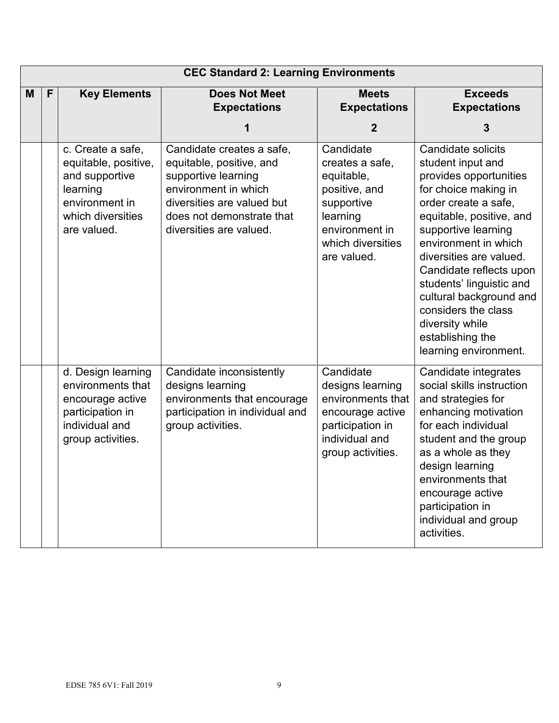|   | <b>CEC Standard 2: Learning Environments</b> |                                                                                                                               |                                                                                                                                                                                            |                                                                                                                                             |                                                                                                                                                                                                                                                                                                                                                                                                  |
|---|----------------------------------------------|-------------------------------------------------------------------------------------------------------------------------------|--------------------------------------------------------------------------------------------------------------------------------------------------------------------------------------------|---------------------------------------------------------------------------------------------------------------------------------------------|--------------------------------------------------------------------------------------------------------------------------------------------------------------------------------------------------------------------------------------------------------------------------------------------------------------------------------------------------------------------------------------------------|
| M | $\mathsf{F}$                                 | <b>Key Elements</b>                                                                                                           | <b>Does Not Meet</b><br><b>Expectations</b>                                                                                                                                                | <b>Meets</b><br><b>Expectations</b><br>$\mathbf{2}$                                                                                         | <b>Exceeds</b><br><b>Expectations</b><br>3                                                                                                                                                                                                                                                                                                                                                       |
|   |                                              | c. Create a safe,<br>equitable, positive,<br>and supportive<br>learning<br>environment in<br>which diversities<br>are valued. | Candidate creates a safe,<br>equitable, positive, and<br>supportive learning<br>environment in which<br>diversities are valued but<br>does not demonstrate that<br>diversities are valued. | Candidate<br>creates a safe,<br>equitable,<br>positive, and<br>supportive<br>learning<br>environment in<br>which diversities<br>are valued. | Candidate solicits<br>student input and<br>provides opportunities<br>for choice making in<br>order create a safe,<br>equitable, positive, and<br>supportive learning<br>environment in which<br>diversities are valued.<br>Candidate reflects upon<br>students' linguistic and<br>cultural background and<br>considers the class<br>diversity while<br>establishing the<br>learning environment. |
|   |                                              | d. Design learning<br>environments that<br>encourage active<br>participation in<br>individual and<br>group activities.        | Candidate inconsistently<br>designs learning<br>environments that encourage<br>participation in individual and<br>group activities.                                                        | Candidate<br>designs learning<br>environments that<br>encourage active<br>participation in<br>individual and<br>group activities.           | Candidate integrates<br>social skills instruction<br>and strategies for<br>enhancing motivation<br>for each individual<br>student and the group<br>as a whole as they<br>design learning<br>environments that<br>encourage active<br>participation in<br>individual and group<br>activities.                                                                                                     |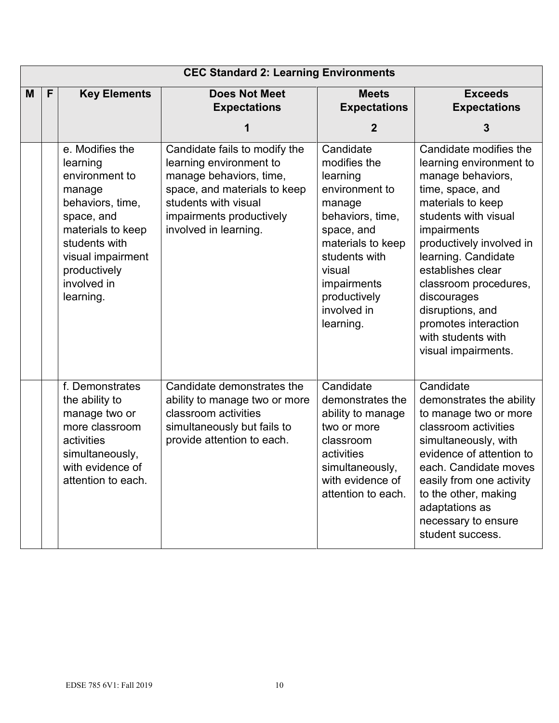|   | <b>CEC Standard 2: Learning Environments</b> |                                                                                                                                                                                                  |                                                                                                                                                                                                  |                                                                                                                                                                                                                |                                                                                                                                                                                                                                                                                                                                                                 |  |
|---|----------------------------------------------|--------------------------------------------------------------------------------------------------------------------------------------------------------------------------------------------------|--------------------------------------------------------------------------------------------------------------------------------------------------------------------------------------------------|----------------------------------------------------------------------------------------------------------------------------------------------------------------------------------------------------------------|-----------------------------------------------------------------------------------------------------------------------------------------------------------------------------------------------------------------------------------------------------------------------------------------------------------------------------------------------------------------|--|
| M | $\mathsf{F}$                                 | <b>Key Elements</b>                                                                                                                                                                              | <b>Does Not Meet</b><br><b>Expectations</b>                                                                                                                                                      | <b>Meets</b><br><b>Expectations</b><br>$\mathbf 2$                                                                                                                                                             | <b>Exceeds</b><br><b>Expectations</b><br>3                                                                                                                                                                                                                                                                                                                      |  |
|   |                                              | e. Modifies the<br>learning<br>environment to<br>manage<br>behaviors, time,<br>space, and<br>materials to keep<br>students with<br>visual impairment<br>productively<br>involved in<br>learning. | Candidate fails to modify the<br>learning environment to<br>manage behaviors, time,<br>space, and materials to keep<br>students with visual<br>impairments productively<br>involved in learning. | Candidate<br>modifies the<br>learning<br>environment to<br>manage<br>behaviors, time,<br>space, and<br>materials to keep<br>students with<br>visual<br>impairments<br>productively<br>involved in<br>learning. | Candidate modifies the<br>learning environment to<br>manage behaviors,<br>time, space, and<br>materials to keep<br>students with visual<br>impairments<br>productively involved in<br>learning. Candidate<br>establishes clear<br>classroom procedures,<br>discourages<br>disruptions, and<br>promotes interaction<br>with students with<br>visual impairments. |  |
|   |                                              | f. Demonstrates<br>the ability to<br>manage two or<br>more classroom<br>activities<br>simultaneously,<br>with evidence of<br>attention to each.                                                  | Candidate demonstrates the<br>ability to manage two or more<br>classroom activities<br>simultaneously but fails to<br>provide attention to each.                                                 | Candidate<br>demonstrates the<br>ability to manage<br>two or more<br>classroom<br>activities<br>simultaneously,<br>with evidence of<br>attention to each.                                                      | Candidate<br>demonstrates the ability<br>to manage two or more<br>classroom activities<br>simultaneously, with<br>evidence of attention to<br>each. Candidate moves<br>easily from one activity<br>to the other, making<br>adaptations as<br>necessary to ensure<br>student success.                                                                            |  |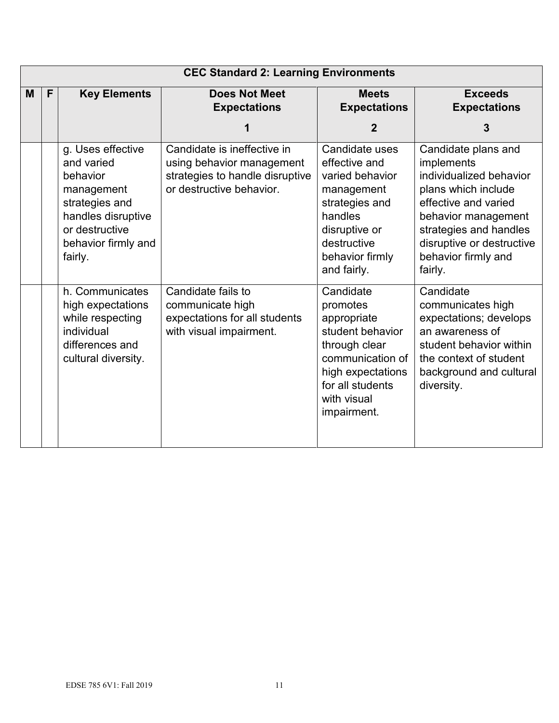|   | <b>CEC Standard 2: Learning Environments</b> |                                                                                                                                                       |                                                                                                                         |                                                                                                                                                                      |                                                                                                                                                                                                                             |  |
|---|----------------------------------------------|-------------------------------------------------------------------------------------------------------------------------------------------------------|-------------------------------------------------------------------------------------------------------------------------|----------------------------------------------------------------------------------------------------------------------------------------------------------------------|-----------------------------------------------------------------------------------------------------------------------------------------------------------------------------------------------------------------------------|--|
| M | F                                            | <b>Key Elements</b>                                                                                                                                   | <b>Does Not Meet</b><br><b>Expectations</b>                                                                             | <b>Meets</b><br><b>Expectations</b>                                                                                                                                  | <b>Exceeds</b><br><b>Expectations</b>                                                                                                                                                                                       |  |
|   |                                              |                                                                                                                                                       | 1                                                                                                                       | $\overline{2}$                                                                                                                                                       | 3                                                                                                                                                                                                                           |  |
|   |                                              | g. Uses effective<br>and varied<br>behavior<br>management<br>strategies and<br>handles disruptive<br>or destructive<br>behavior firmly and<br>fairly. | Candidate is ineffective in<br>using behavior management<br>strategies to handle disruptive<br>or destructive behavior. | Candidate uses<br>effective and<br>varied behavior<br>management<br>strategies and<br>handles<br>disruptive or<br>destructive<br>behavior firmly<br>and fairly.      | Candidate plans and<br>implements<br>individualized behavior<br>plans which include<br>effective and varied<br>behavior management<br>strategies and handles<br>disruptive or destructive<br>behavior firmly and<br>fairly. |  |
|   |                                              | h. Communicates<br>high expectations<br>while respecting<br>individual<br>differences and<br>cultural diversity.                                      | Candidate fails to<br>communicate high<br>expectations for all students<br>with visual impairment.                      | Candidate<br>promotes<br>appropriate<br>student behavior<br>through clear<br>communication of<br>high expectations<br>for all students<br>with visual<br>impairment. | Candidate<br>communicates high<br>expectations; develops<br>an awareness of<br>student behavior within<br>the context of student<br>background and cultural<br>diversity.                                                   |  |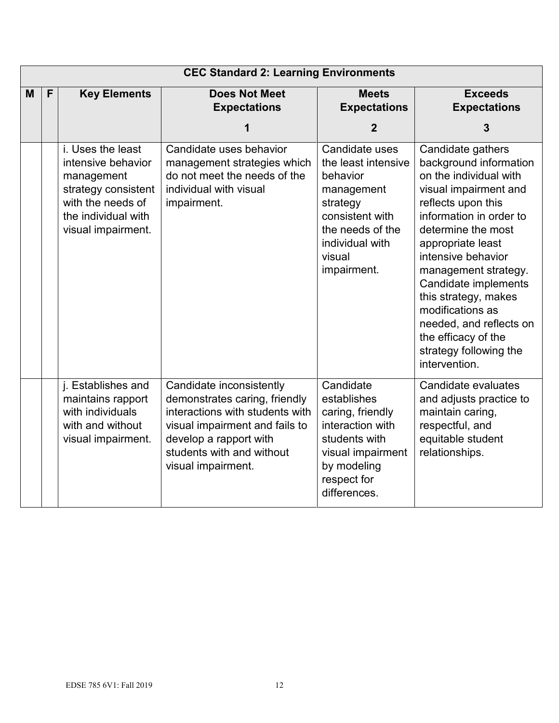|   | <b>CEC Standard 2: Learning Environments</b> |                                                                                                                                                |                                                                                                                                                                                                             |                                                                                                                                                                |                                                                                                                                                                                                                                                                                                                                                                                                           |  |
|---|----------------------------------------------|------------------------------------------------------------------------------------------------------------------------------------------------|-------------------------------------------------------------------------------------------------------------------------------------------------------------------------------------------------------------|----------------------------------------------------------------------------------------------------------------------------------------------------------------|-----------------------------------------------------------------------------------------------------------------------------------------------------------------------------------------------------------------------------------------------------------------------------------------------------------------------------------------------------------------------------------------------------------|--|
| M | F                                            | <b>Key Elements</b>                                                                                                                            | <b>Does Not Meet</b><br><b>Expectations</b>                                                                                                                                                                 | <b>Meets</b><br><b>Expectations</b>                                                                                                                            | <b>Exceeds</b><br><b>Expectations</b>                                                                                                                                                                                                                                                                                                                                                                     |  |
|   |                                              |                                                                                                                                                | 1                                                                                                                                                                                                           | $\overline{2}$                                                                                                                                                 | $\overline{3}$                                                                                                                                                                                                                                                                                                                                                                                            |  |
|   |                                              | i. Uses the least<br>intensive behavior<br>management<br>strategy consistent<br>with the needs of<br>the individual with<br>visual impairment. | Candidate uses behavior<br>management strategies which<br>do not meet the needs of the<br>individual with visual<br>impairment.                                                                             | Candidate uses<br>the least intensive<br>behavior<br>management<br>strategy<br>consistent with<br>the needs of the<br>individual with<br>visual<br>impairment. | Candidate gathers<br>background information<br>on the individual with<br>visual impairment and<br>reflects upon this<br>information in order to<br>determine the most<br>appropriate least<br>intensive behavior<br>management strategy.<br>Candidate implements<br>this strategy, makes<br>modifications as<br>needed, and reflects on<br>the efficacy of the<br>strategy following the<br>intervention. |  |
|   |                                              | j. Establishes and<br>maintains rapport<br>with individuals<br>with and without<br>visual impairment.                                          | Candidate inconsistently<br>demonstrates caring, friendly<br>interactions with students with<br>visual impairment and fails to<br>develop a rapport with<br>students with and without<br>visual impairment. | Candidate<br>establishes<br>caring, friendly<br>interaction with<br>students with<br>visual impairment<br>by modeling<br>respect for<br>differences.           | Candidate evaluates<br>and adjusts practice to<br>maintain caring,<br>respectful, and<br>equitable student<br>relationships.                                                                                                                                                                                                                                                                              |  |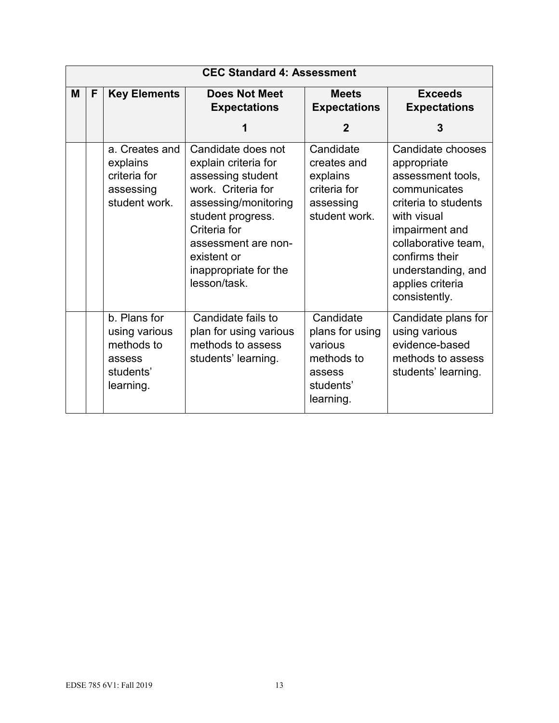| <b>CEC Standard 4: Assessment</b> |   |                                                                                 |                                                                                                                                                                                                                                   |                                                                                           |                                                                                                                                                                                                                                    |
|-----------------------------------|---|---------------------------------------------------------------------------------|-----------------------------------------------------------------------------------------------------------------------------------------------------------------------------------------------------------------------------------|-------------------------------------------------------------------------------------------|------------------------------------------------------------------------------------------------------------------------------------------------------------------------------------------------------------------------------------|
| M                                 | F | <b>Key Elements</b>                                                             | <b>Does Not Meet</b><br><b>Expectations</b>                                                                                                                                                                                       | <b>Meets</b><br><b>Expectations</b>                                                       | <b>Exceeds</b><br><b>Expectations</b>                                                                                                                                                                                              |
|                                   |   |                                                                                 |                                                                                                                                                                                                                                   | $\mathbf 2$                                                                               | 3                                                                                                                                                                                                                                  |
|                                   |   | a. Creates and<br>explains<br>criteria for<br>assessing<br>student work.        | Candidate does not<br>explain criteria for<br>assessing student<br>work. Criteria for<br>assessing/monitoring<br>student progress.<br>Criteria for<br>assessment are non-<br>existent or<br>inappropriate for the<br>lesson/task. | Candidate<br>creates and<br>explains<br>criteria for<br>assessing<br>student work.        | Candidate chooses<br>appropriate<br>assessment tools,<br>communicates<br>criteria to students<br>with visual<br>impairment and<br>collaborative team,<br>confirms their<br>understanding, and<br>applies criteria<br>consistently. |
|                                   |   | b. Plans for<br>using various<br>methods to<br>assess<br>students'<br>learning. | Candidate fails to<br>plan for using various<br>methods to assess<br>students' learning.                                                                                                                                          | Candidate<br>plans for using<br>various<br>methods to<br>assess<br>students'<br>learning. | Candidate plans for<br>using various<br>evidence-based<br>methods to assess<br>students' learning.                                                                                                                                 |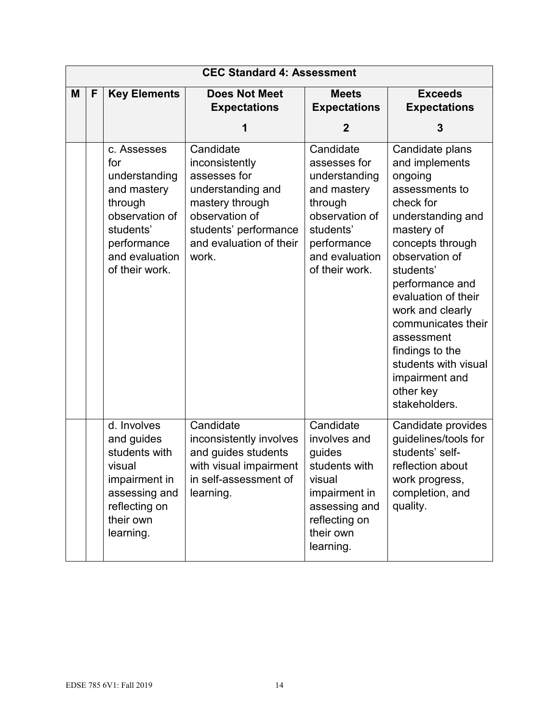|   | <b>CEC Standard 4: Assessment</b> |                                                                                                                                                 |                                                                                                                                                                    |                                                                                                                                                        |                                                                                                                                                                                                                                                                                                                                                                |  |
|---|-----------------------------------|-------------------------------------------------------------------------------------------------------------------------------------------------|--------------------------------------------------------------------------------------------------------------------------------------------------------------------|--------------------------------------------------------------------------------------------------------------------------------------------------------|----------------------------------------------------------------------------------------------------------------------------------------------------------------------------------------------------------------------------------------------------------------------------------------------------------------------------------------------------------------|--|
| M | F                                 | <b>Key Elements</b>                                                                                                                             | <b>Does Not Meet</b><br><b>Expectations</b>                                                                                                                        | <b>Meets</b><br><b>Expectations</b>                                                                                                                    | <b>Exceeds</b><br><b>Expectations</b>                                                                                                                                                                                                                                                                                                                          |  |
|   |                                   |                                                                                                                                                 | 1                                                                                                                                                                  | $\mathbf{2}$                                                                                                                                           | 3                                                                                                                                                                                                                                                                                                                                                              |  |
|   |                                   | c. Assesses<br>for<br>understanding<br>and mastery<br>through<br>observation of<br>students'<br>performance<br>and evaluation<br>of their work. | Candidate<br>inconsistently<br>assesses for<br>understanding and<br>mastery through<br>observation of<br>students' performance<br>and evaluation of their<br>work. | Candidate<br>assesses for<br>understanding<br>and mastery<br>through<br>observation of<br>students'<br>performance<br>and evaluation<br>of their work. | Candidate plans<br>and implements<br>ongoing<br>assessments to<br>check for<br>understanding and<br>mastery of<br>concepts through<br>observation of<br>students'<br>performance and<br>evaluation of their<br>work and clearly<br>communicates their<br>assessment<br>findings to the<br>students with visual<br>impairment and<br>other key<br>stakeholders. |  |
|   |                                   | d. Involves<br>and guides<br>students with<br>visual<br>impairment in<br>assessing and<br>reflecting on<br>their own<br>learning.               | Candidate<br>inconsistently involves<br>and guides students<br>with visual impairment<br>in self-assessment of<br>learning.                                        | Candidate<br>involves and<br>guides<br>students with<br>visual<br>impairment in<br>assessing and<br>reflecting on<br>their own<br>learning.            | Candidate provides<br>guidelines/tools for<br>students' self-<br>reflection about<br>work progress,<br>completion, and<br>quality.                                                                                                                                                                                                                             |  |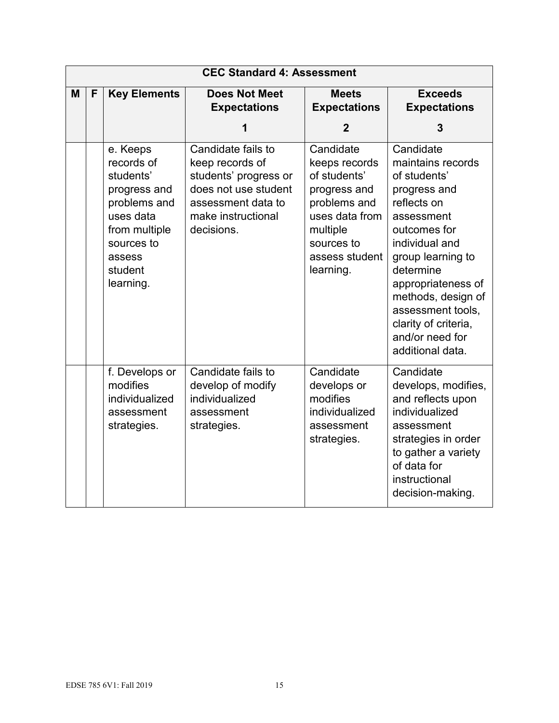|   | <b>CEC Standard 4: Assessment</b> |                                                                                                                                                   |                                                                                                                                                  |                                                                                                                                                       |                                                                                                                                                                                                                                                                                                 |  |
|---|-----------------------------------|---------------------------------------------------------------------------------------------------------------------------------------------------|--------------------------------------------------------------------------------------------------------------------------------------------------|-------------------------------------------------------------------------------------------------------------------------------------------------------|-------------------------------------------------------------------------------------------------------------------------------------------------------------------------------------------------------------------------------------------------------------------------------------------------|--|
| M | F                                 | <b>Key Elements</b>                                                                                                                               | <b>Does Not Meet</b><br><b>Expectations</b>                                                                                                      | <b>Meets</b><br><b>Expectations</b>                                                                                                                   | <b>Exceeds</b><br><b>Expectations</b>                                                                                                                                                                                                                                                           |  |
|   |                                   |                                                                                                                                                   | 1                                                                                                                                                | $\overline{2}$                                                                                                                                        | 3                                                                                                                                                                                                                                                                                               |  |
|   |                                   | e. Keeps<br>records of<br>students'<br>progress and<br>problems and<br>uses data<br>from multiple<br>sources to<br>assess<br>student<br>learning. | Candidate fails to<br>keep records of<br>students' progress or<br>does not use student<br>assessment data to<br>make instructional<br>decisions. | Candidate<br>keeps records<br>of students'<br>progress and<br>problems and<br>uses data from<br>multiple<br>sources to<br>assess student<br>learning. | Candidate<br>maintains records<br>of students'<br>progress and<br>reflects on<br>assessment<br>outcomes for<br>individual and<br>group learning to<br>determine<br>appropriateness of<br>methods, design of<br>assessment tools,<br>clarity of criteria,<br>and/or need for<br>additional data. |  |
|   |                                   | f. Develops or<br>modifies<br>individualized<br>assessment<br>strategies.                                                                         | Candidate fails to<br>develop of modify<br>individualized<br>assessment<br>strategies.                                                           | Candidate<br>develops or<br>modifies<br>individualized<br>assessment<br>strategies.                                                                   | Candidate<br>develops, modifies,<br>and reflects upon<br>individualized<br>assessment<br>strategies in order<br>to gather a variety<br>of data for<br>instructional<br>decision-making.                                                                                                         |  |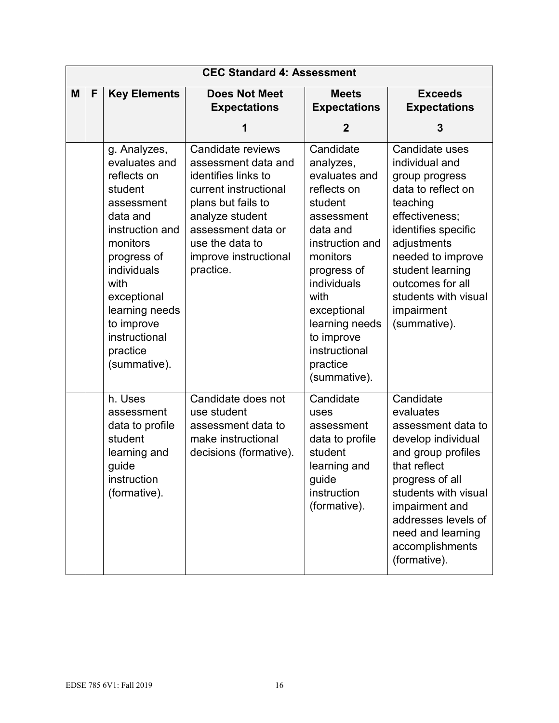|   | <b>CEC Standard 4: Assessment</b> |                                                                                                                                                                                                                                                    |                                                                                                                                                                                                                  |                                                                                                                                                                                                                                                              |                                                                                                                                                                                                                                                                 |  |
|---|-----------------------------------|----------------------------------------------------------------------------------------------------------------------------------------------------------------------------------------------------------------------------------------------------|------------------------------------------------------------------------------------------------------------------------------------------------------------------------------------------------------------------|--------------------------------------------------------------------------------------------------------------------------------------------------------------------------------------------------------------------------------------------------------------|-----------------------------------------------------------------------------------------------------------------------------------------------------------------------------------------------------------------------------------------------------------------|--|
| M | F                                 | <b>Key Elements</b>                                                                                                                                                                                                                                | <b>Does Not Meet</b><br><b>Expectations</b><br>1                                                                                                                                                                 | <b>Meets</b><br><b>Expectations</b><br>$\mathbf 2$                                                                                                                                                                                                           | <b>Exceeds</b><br><b>Expectations</b><br>3                                                                                                                                                                                                                      |  |
|   |                                   | g. Analyzes,<br>evaluates and<br>reflects on<br>student<br>assessment<br>data and<br>instruction and<br>monitors<br>progress of<br>individuals<br>with<br>exceptional<br>learning needs<br>to improve<br>instructional<br>practice<br>(summative). | Candidate reviews<br>assessment data and<br>identifies links to<br>current instructional<br>plans but fails to<br>analyze student<br>assessment data or<br>use the data to<br>improve instructional<br>practice. | Candidate<br>analyzes,<br>evaluates and<br>reflects on<br>student<br>assessment<br>data and<br>instruction and<br>monitors<br>progress of<br>individuals<br>with<br>exceptional<br>learning needs<br>to improve<br>instructional<br>practice<br>(summative). | Candidate uses<br>individual and<br>group progress<br>data to reflect on<br>teaching<br>effectiveness;<br>identifies specific<br>adjustments<br>needed to improve<br>student learning<br>outcomes for all<br>students with visual<br>impairment<br>(summative). |  |
|   |                                   | h. Uses<br>assessment<br>data to profile<br>student<br>learning and<br>guide<br>instruction<br>(formative).                                                                                                                                        | Candidate does not<br>use student<br>assessment data to<br>make instructional<br>decisions (formative).                                                                                                          | Candidate<br>uses<br>assessment<br>data to profile<br>student<br>learning and<br>guide<br>instruction<br>(formative).                                                                                                                                        | Candidate<br>evaluates<br>assessment data to<br>develop individual<br>and group profiles<br>that reflect<br>progress of all<br>students with visual<br>impairment and<br>addresses levels of<br>need and learning<br>accomplishments<br>(formative).            |  |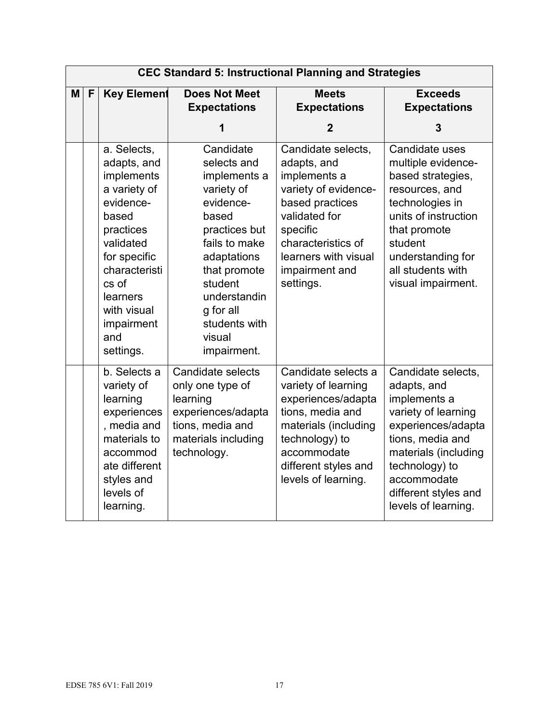|   |   |                                                                                                                                                                                                                 |                                                                                                                                                                                                                                 | <b>CEC Standard 5: Instructional Planning and Strategies</b>                                                                                                                                           |                                                                                                                                                                                                                            |
|---|---|-----------------------------------------------------------------------------------------------------------------------------------------------------------------------------------------------------------------|---------------------------------------------------------------------------------------------------------------------------------------------------------------------------------------------------------------------------------|--------------------------------------------------------------------------------------------------------------------------------------------------------------------------------------------------------|----------------------------------------------------------------------------------------------------------------------------------------------------------------------------------------------------------------------------|
| M | F | <b>Key Element</b>                                                                                                                                                                                              | <b>Does Not Meet</b><br><b>Expectations</b>                                                                                                                                                                                     | <b>Meets</b><br><b>Expectations</b>                                                                                                                                                                    | <b>Exceeds</b><br><b>Expectations</b>                                                                                                                                                                                      |
|   |   |                                                                                                                                                                                                                 | 1                                                                                                                                                                                                                               | $\overline{2}$                                                                                                                                                                                         | 3                                                                                                                                                                                                                          |
|   |   | a. Selects,<br>adapts, and<br>implements<br>a variety of<br>evidence-<br>based<br>practices<br>validated<br>for specific<br>characteristi<br>cs of<br>learners<br>with visual<br>impairment<br>and<br>settings. | Candidate<br>selects and<br>implements a<br>variety of<br>evidence-<br>based<br>practices but<br>fails to make<br>adaptations<br>that promote<br>student<br>understandin<br>g for all<br>students with<br>visual<br>impairment. | Candidate selects,<br>adapts, and<br>implements a<br>variety of evidence-<br>based practices<br>validated for<br>specific<br>characteristics of<br>learners with visual<br>impairment and<br>settings. | Candidate uses<br>multiple evidence-<br>based strategies,<br>resources, and<br>technologies in<br>units of instruction<br>that promote<br>student<br>understanding for<br>all students with<br>visual impairment.          |
|   |   | b. Selects a<br>variety of<br>learning<br>experiences<br>, media and<br>materials to<br>accommod<br>ate different<br>styles and<br>levels of<br>learning.                                                       | Candidate selects<br>only one type of<br>learning<br>experiences/adapta<br>tions, media and<br>materials including<br>technology.                                                                                               | Candidate selects a<br>variety of learning<br>experiences/adapta<br>tions, media and<br>materials (including<br>technology) to<br>accommodate<br>different styles and<br>levels of learning.           | Candidate selects,<br>adapts, and<br>implements a<br>variety of learning<br>experiences/adapta<br>tions, media and<br>materials (including<br>technology) to<br>accommodate<br>different styles and<br>levels of learning. |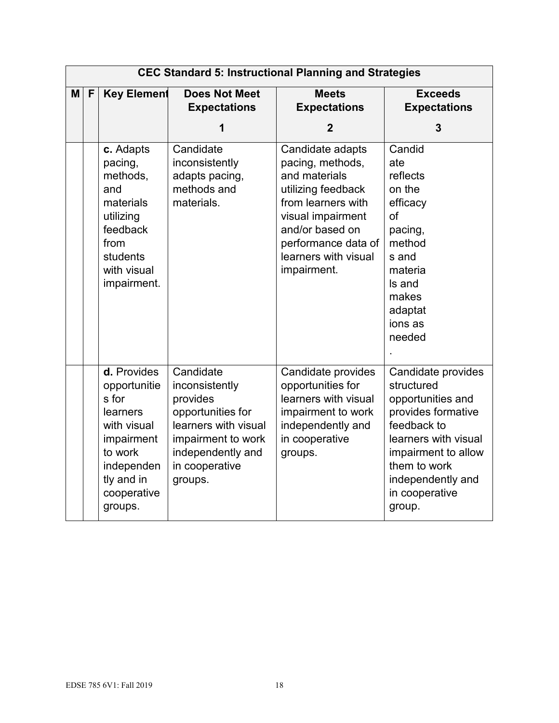|   | <b>CEC Standard 5: Instructional Planning and Strategies</b> |                                                                                                                                                |                                                                                                                                                              |                                                                                                                                                                                                         |                                                                                                                                                                                                            |  |  |  |
|---|--------------------------------------------------------------|------------------------------------------------------------------------------------------------------------------------------------------------|--------------------------------------------------------------------------------------------------------------------------------------------------------------|---------------------------------------------------------------------------------------------------------------------------------------------------------------------------------------------------------|------------------------------------------------------------------------------------------------------------------------------------------------------------------------------------------------------------|--|--|--|
| M | F                                                            | <b>Key Element</b>                                                                                                                             | <b>Does Not Meet</b><br><b>Expectations</b>                                                                                                                  | <b>Meets</b><br><b>Expectations</b>                                                                                                                                                                     | <b>Exceeds</b><br><b>Expectations</b>                                                                                                                                                                      |  |  |  |
|   |                                                              |                                                                                                                                                | 1                                                                                                                                                            | $\overline{2}$                                                                                                                                                                                          | 3                                                                                                                                                                                                          |  |  |  |
|   |                                                              | c. Adapts<br>pacing,<br>methods,<br>and<br>materials<br>utilizing<br>feedback<br>from<br>students<br>with visual<br>impairment.                | Candidate<br>inconsistently<br>adapts pacing,<br>methods and<br>materials.                                                                                   | Candidate adapts<br>pacing, methods,<br>and materials<br>utilizing feedback<br>from learners with<br>visual impairment<br>and/or based on<br>performance data of<br>learners with visual<br>impairment. | Candid<br>ate<br>reflects<br>on the<br>efficacy<br>of<br>pacing,<br>method<br>s and<br>materia<br>Is and<br>makes<br>adaptat<br>ions as<br>needed                                                          |  |  |  |
|   |                                                              | d. Provides<br>opportunitie<br>s for<br>learners<br>with visual<br>impairment<br>to work<br>independen<br>tly and in<br>cooperative<br>groups. | Candidate<br>inconsistently<br>provides<br>opportunities for<br>learners with visual<br>impairment to work<br>independently and<br>in cooperative<br>groups. | Candidate provides<br>opportunities for<br>learners with visual<br>impairment to work<br>independently and<br>in cooperative<br>groups.                                                                 | Candidate provides<br>structured<br>opportunities and<br>provides formative<br>feedback to<br>learners with visual<br>impairment to allow<br>them to work<br>independently and<br>in cooperative<br>group. |  |  |  |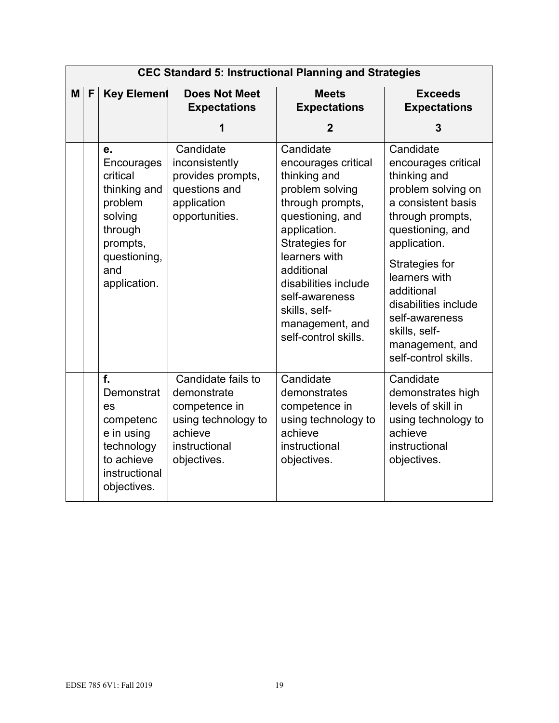|   | <b>CEC Standard 5: Instructional Planning and Strategies</b> |                                                                                                                                  |                                                                                                                      |                                                                                                                                                                                                                                                                                    |                                                                                                                                                                                                                                                                                                             |  |  |  |
|---|--------------------------------------------------------------|----------------------------------------------------------------------------------------------------------------------------------|----------------------------------------------------------------------------------------------------------------------|------------------------------------------------------------------------------------------------------------------------------------------------------------------------------------------------------------------------------------------------------------------------------------|-------------------------------------------------------------------------------------------------------------------------------------------------------------------------------------------------------------------------------------------------------------------------------------------------------------|--|--|--|
| M | F                                                            | <b>Key Element</b>                                                                                                               | <b>Does Not Meet</b><br><b>Expectations</b>                                                                          | <b>Meets</b><br><b>Expectations</b>                                                                                                                                                                                                                                                | <b>Exceeds</b><br><b>Expectations</b>                                                                                                                                                                                                                                                                       |  |  |  |
|   |                                                              |                                                                                                                                  | 1                                                                                                                    | $\mathbf{2}$                                                                                                                                                                                                                                                                       | 3                                                                                                                                                                                                                                                                                                           |  |  |  |
|   |                                                              | е.<br>Encourages<br>critical<br>thinking and<br>problem<br>solving<br>through<br>prompts,<br>questioning,<br>and<br>application. | Candidate<br>inconsistently<br>provides prompts,<br>questions and<br>application<br>opportunities.                   | Candidate<br>encourages critical<br>thinking and<br>problem solving<br>through prompts,<br>questioning, and<br>application.<br>Strategies for<br>learners with<br>additional<br>disabilities include<br>self-awareness<br>skills, self-<br>management, and<br>self-control skills. | Candidate<br>encourages critical<br>thinking and<br>problem solving on<br>a consistent basis<br>through prompts,<br>questioning, and<br>application.<br>Strategies for<br>learners with<br>additional<br>disabilities include<br>self-awareness<br>skills, self-<br>management, and<br>self-control skills. |  |  |  |
|   |                                                              | f.<br>Demonstrat<br>es<br>competenc<br>e in using<br>technology<br>to achieve<br>instructional<br>objectives.                    | Candidate fails to<br>demonstrate<br>competence in<br>using technology to<br>achieve<br>instructional<br>objectives. | Candidate<br>demonstrates<br>competence in<br>using technology to<br>achieve<br>instructional<br>objectives.                                                                                                                                                                       | Candidate<br>demonstrates high<br>levels of skill in<br>using technology to<br>achieve<br>instructional<br>objectives.                                                                                                                                                                                      |  |  |  |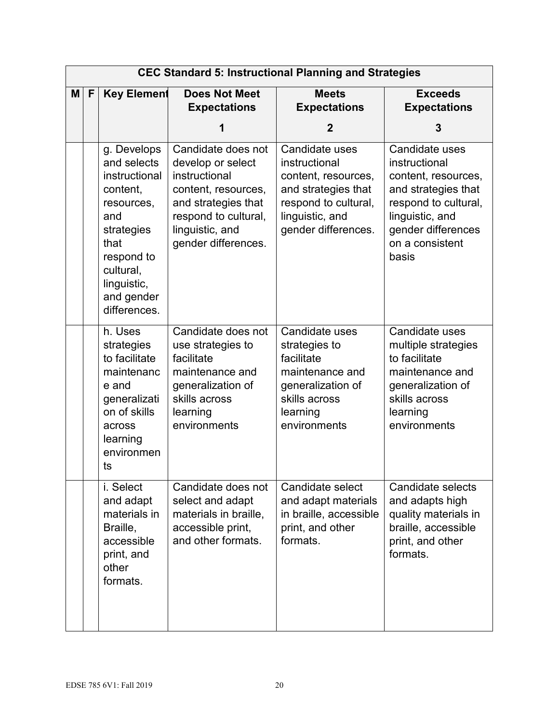|          |   |                                                                                                                                                                            |                                                                                                                                                                          | <b>CEC Standard 5: Instructional Planning and Strategies</b>                                                                                    |                                                                                                                                                                            |
|----------|---|----------------------------------------------------------------------------------------------------------------------------------------------------------------------------|--------------------------------------------------------------------------------------------------------------------------------------------------------------------------|-------------------------------------------------------------------------------------------------------------------------------------------------|----------------------------------------------------------------------------------------------------------------------------------------------------------------------------|
| <b>M</b> | F | <b>Key Element</b>                                                                                                                                                         | <b>Does Not Meet</b><br><b>Expectations</b>                                                                                                                              | <b>Meets</b><br><b>Expectations</b>                                                                                                             | <b>Exceeds</b><br><b>Expectations</b>                                                                                                                                      |
|          |   |                                                                                                                                                                            | 1                                                                                                                                                                        | 2                                                                                                                                               | 3                                                                                                                                                                          |
|          |   | g. Develops<br>and selects<br>instructional<br>content,<br>resources,<br>and<br>strategies<br>that<br>respond to<br>cultural,<br>linguistic,<br>and gender<br>differences. | Candidate does not<br>develop or select<br>instructional<br>content, resources,<br>and strategies that<br>respond to cultural,<br>linguistic, and<br>gender differences. | Candidate uses<br>instructional<br>content, resources,<br>and strategies that<br>respond to cultural,<br>linguistic, and<br>gender differences. | Candidate uses<br>instructional<br>content, resources,<br>and strategies that<br>respond to cultural,<br>linguistic, and<br>gender differences<br>on a consistent<br>basis |
|          |   | h. Uses<br>strategies<br>to facilitate<br>maintenanc<br>e and<br>generalizati<br>on of skills<br>across<br>learning<br>environmen<br>ts                                    | Candidate does not<br>use strategies to<br>facilitate<br>maintenance and<br>generalization of<br>skills across<br>learning<br>environments                               | Candidate uses<br>strategies to<br>facilitate<br>maintenance and<br>generalization of<br>skills across<br>learning<br>environments              | Candidate uses<br>multiple strategies<br>to facilitate<br>maintenance and<br>generalization of<br>skills across<br>learning<br>environments                                |
|          |   | i. Select<br>and adapt<br>materials in<br>Braille,<br>accessible<br>print, and<br>other<br>formats.                                                                        | Candidate does not<br>select and adapt<br>materials in braille,<br>accessible print,<br>and other formats.                                                               | Candidate select<br>and adapt materials<br>in braille, accessible<br>print, and other<br>formats.                                               | Candidate selects<br>and adapts high<br>quality materials in<br>braille, accessible<br>print, and other<br>formats.                                                        |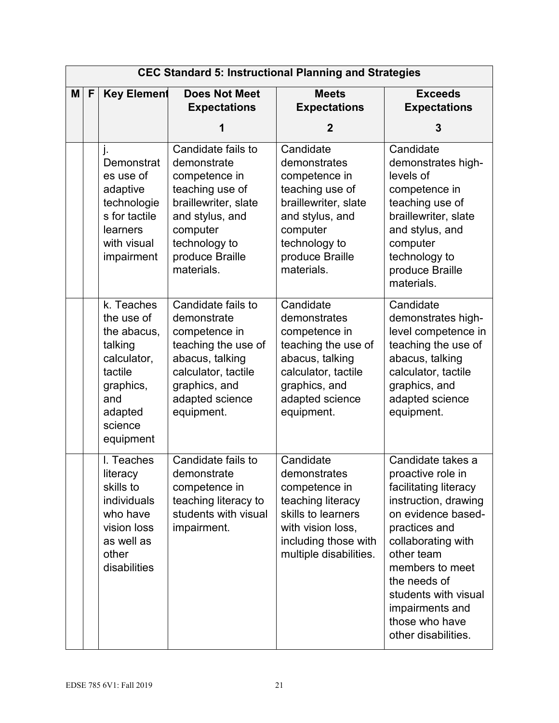|          |   |                                                                                                                                     |                                                                                                                                                                                | <b>CEC Standard 5: Instructional Planning and Strategies</b>                                                                                                           |                                                                                                                                                                                                                                                                                           |
|----------|---|-------------------------------------------------------------------------------------------------------------------------------------|--------------------------------------------------------------------------------------------------------------------------------------------------------------------------------|------------------------------------------------------------------------------------------------------------------------------------------------------------------------|-------------------------------------------------------------------------------------------------------------------------------------------------------------------------------------------------------------------------------------------------------------------------------------------|
| <b>M</b> | F | <b>Key Element</b>                                                                                                                  | <b>Does Not Meet</b><br><b>Expectations</b>                                                                                                                                    | <b>Meets</b><br><b>Expectations</b>                                                                                                                                    | <b>Exceeds</b><br><b>Expectations</b>                                                                                                                                                                                                                                                     |
|          |   |                                                                                                                                     | 1                                                                                                                                                                              | $\mathbf 2$                                                                                                                                                            | 3                                                                                                                                                                                                                                                                                         |
|          |   | j.<br>Demonstrat<br>es use of<br>adaptive<br>technologie<br>s for tactile<br>learners<br>with visual<br>impairment                  | Candidate fails to<br>demonstrate<br>competence in<br>teaching use of<br>braillewriter, slate<br>and stylus, and<br>computer<br>technology to<br>produce Braille<br>materials. | Candidate<br>demonstrates<br>competence in<br>teaching use of<br>braillewriter, slate<br>and stylus, and<br>computer<br>technology to<br>produce Braille<br>materials. | Candidate<br>demonstrates high-<br>levels of<br>competence in<br>teaching use of<br>braillewriter, slate<br>and stylus, and<br>computer<br>technology to<br>produce Braille<br>materials.                                                                                                 |
|          |   | k. Teaches<br>the use of<br>the abacus,<br>talking<br>calculator,<br>tactile<br>graphics,<br>and<br>adapted<br>science<br>equipment | Candidate fails to<br>demonstrate<br>competence in<br>teaching the use of<br>abacus, talking<br>calculator, tactile<br>graphics, and<br>adapted science<br>equipment.          | Candidate<br>demonstrates<br>competence in<br>teaching the use of<br>abacus, talking<br>calculator, tactile<br>graphics, and<br>adapted science<br>equipment.          | Candidate<br>demonstrates high-<br>level competence in<br>teaching the use of<br>abacus, talking<br>calculator, tactile<br>graphics, and<br>adapted science<br>equipment.                                                                                                                 |
|          |   | I. Teaches<br>literacy<br>skills to<br>individuals<br>who have<br>vision loss<br>as well as<br>other<br>disabilities                | Candidate fails to<br>demonstrate<br>competence in<br>teaching literacy to<br>students with visual<br>impairment.                                                              | Candidate<br>demonstrates<br>competence in<br>teaching literacy<br>skills to learners<br>with vision loss,<br>including those with<br>multiple disabilities.           | Candidate takes a<br>proactive role in<br>facilitating literacy<br>instruction, drawing<br>on evidence based-<br>practices and<br>collaborating with<br>other team<br>members to meet<br>the needs of<br>students with visual<br>impairments and<br>those who have<br>other disabilities. |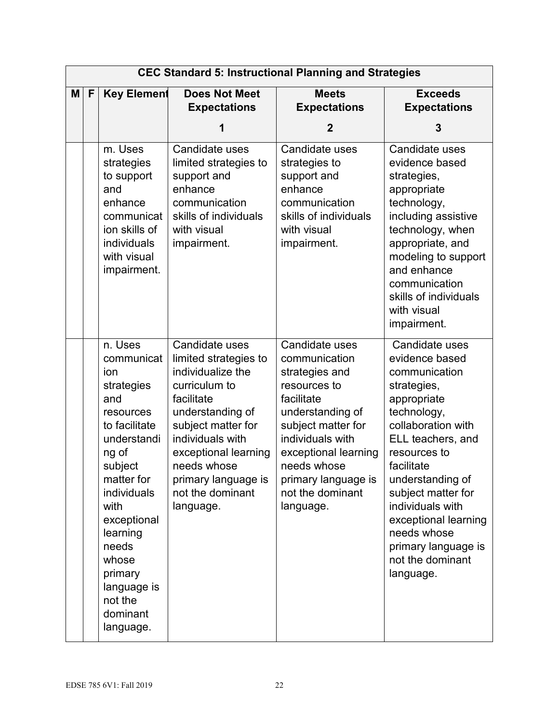|   |              |                                                                                                                                                                                                                                                                    | <b>CEC Standard 5: Instructional Planning and Strategies</b>                                                                                                                                                                                             |                                                                                                                                                                                                                                              |                                                                                                                                                                                                                                                                                                                                      |
|---|--------------|--------------------------------------------------------------------------------------------------------------------------------------------------------------------------------------------------------------------------------------------------------------------|----------------------------------------------------------------------------------------------------------------------------------------------------------------------------------------------------------------------------------------------------------|----------------------------------------------------------------------------------------------------------------------------------------------------------------------------------------------------------------------------------------------|--------------------------------------------------------------------------------------------------------------------------------------------------------------------------------------------------------------------------------------------------------------------------------------------------------------------------------------|
| M | $\mathsf{F}$ | <b>Key Element</b>                                                                                                                                                                                                                                                 | <b>Does Not Meet</b><br><b>Expectations</b>                                                                                                                                                                                                              | <b>Meets</b><br><b>Expectations</b>                                                                                                                                                                                                          | <b>Exceeds</b><br><b>Expectations</b>                                                                                                                                                                                                                                                                                                |
|   |              |                                                                                                                                                                                                                                                                    | 1                                                                                                                                                                                                                                                        | $\mathbf 2$                                                                                                                                                                                                                                  | 3                                                                                                                                                                                                                                                                                                                                    |
|   |              | m. Uses<br>strategies<br>to support<br>and<br>enhance<br>communicat<br>ion skills of<br>individuals<br>with visual<br>impairment.                                                                                                                                  | Candidate uses<br>limited strategies to<br>support and<br>enhance<br>communication<br>skills of individuals<br>with visual<br>impairment.                                                                                                                | Candidate uses<br>strategies to<br>support and<br>enhance<br>communication<br>skills of individuals<br>with visual<br>impairment.                                                                                                            | Candidate uses<br>evidence based<br>strategies,<br>appropriate<br>technology,<br>including assistive<br>technology, when<br>appropriate, and<br>modeling to support<br>and enhance<br>communication<br>skills of individuals<br>with visual<br>impairment.                                                                           |
|   |              | n. Uses<br>communicat<br>ion<br>strategies<br>and<br>resources<br>to facilitate<br>understandi<br>ng of<br>subject<br>matter for<br>individuals<br>with<br>exceptional<br>learning<br>needs<br>whose<br>primary<br>language is<br>not the<br>dominant<br>language. | Candidate uses<br>limited strategies to<br>individualize the<br>curriculum to<br>facilitate<br>understanding of<br>subject matter for<br>individuals with<br>exceptional learning<br>needs whose<br>primary language is<br>not the dominant<br>language. | Candidate uses<br>communication<br>strategies and<br>resources to<br>facilitate<br>understanding of<br>subject matter for<br>individuals with<br>exceptional learning<br>needs whose<br>primary language is<br>not the dominant<br>language. | Candidate uses<br>evidence based<br>communication<br>strategies,<br>appropriate<br>technology,<br>collaboration with<br>ELL teachers, and<br>resources to<br>facilitate<br>understanding of<br>subject matter for<br>individuals with<br>exceptional learning<br>needs whose<br>primary language is<br>not the dominant<br>language. |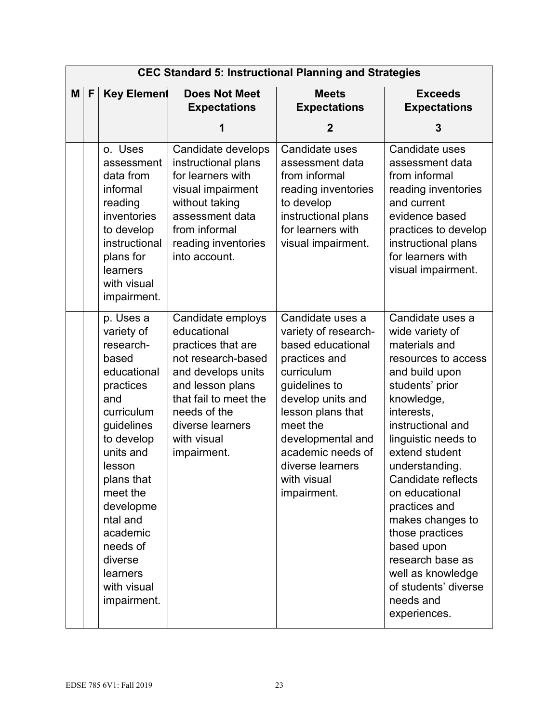|   |   |                                                                                                                                                                                                                                                                                   |                                                                                                                                                                                                                   | <b>CEC Standard 5: Instructional Planning and Strategies</b>                                                                                                                                                                                                    |                                                                                                                                                                                                                                                                                                                                                                                                                                          |
|---|---|-----------------------------------------------------------------------------------------------------------------------------------------------------------------------------------------------------------------------------------------------------------------------------------|-------------------------------------------------------------------------------------------------------------------------------------------------------------------------------------------------------------------|-----------------------------------------------------------------------------------------------------------------------------------------------------------------------------------------------------------------------------------------------------------------|------------------------------------------------------------------------------------------------------------------------------------------------------------------------------------------------------------------------------------------------------------------------------------------------------------------------------------------------------------------------------------------------------------------------------------------|
| M | F | <b>Key Element</b>                                                                                                                                                                                                                                                                | <b>Does Not Meet</b><br><b>Expectations</b>                                                                                                                                                                       | <b>Meets</b><br><b>Expectations</b>                                                                                                                                                                                                                             | <b>Exceeds</b><br><b>Expectations</b>                                                                                                                                                                                                                                                                                                                                                                                                    |
|   |   |                                                                                                                                                                                                                                                                                   | 1                                                                                                                                                                                                                 | $\mathbf 2$                                                                                                                                                                                                                                                     | 3                                                                                                                                                                                                                                                                                                                                                                                                                                        |
|   |   | o. Uses<br>assessment<br>data from<br>informal<br>reading<br>inventories<br>to develop<br>instructional<br>plans for<br>learners<br>with visual<br>impairment.                                                                                                                    | Candidate develops<br>instructional plans<br>for learners with<br>visual impairment<br>without taking<br>assessment data<br>from informal<br>reading inventories<br>into account.                                 | Candidate uses<br>assessment data<br>from informal<br>reading inventories<br>to develop<br>instructional plans<br>for learners with<br>visual impairment.                                                                                                       | Candidate uses<br>assessment data<br>from informal<br>reading inventories<br>and current<br>evidence based<br>practices to develop<br>instructional plans<br>for learners with<br>visual impairment.                                                                                                                                                                                                                                     |
|   |   | p. Uses a<br>variety of<br>research-<br>based<br>educational<br>practices<br>and<br>curriculum<br>guidelines<br>to develop<br>units and<br>lesson<br>plans that<br>meet the<br>developme<br>ntal and<br>academic<br>needs of<br>diverse<br>learners<br>with visual<br>impairment. | Candidate employs<br>educational<br>practices that are<br>not research-based<br>and develops units<br>and lesson plans<br>that fail to meet the<br>needs of the<br>diverse learners<br>with visual<br>impairment. | Candidate uses a<br>variety of research-<br>based educational<br>practices and<br>curriculum<br>guidelines to<br>develop units and<br>lesson plans that<br>meet the<br>developmental and<br>academic needs of<br>diverse learners<br>with visual<br>impairment. | Candidate uses a<br>wide variety of<br>materials and<br>resources to access<br>and build upon<br>students' prior<br>knowledge,<br>interests,<br>instructional and<br>linguistic needs to<br>extend student<br>understanding.<br>Candidate reflects<br>on educational<br>practices and<br>makes changes to<br>those practices<br>based upon<br>research base as<br>well as knowledge<br>of students' diverse<br>needs and<br>experiences. |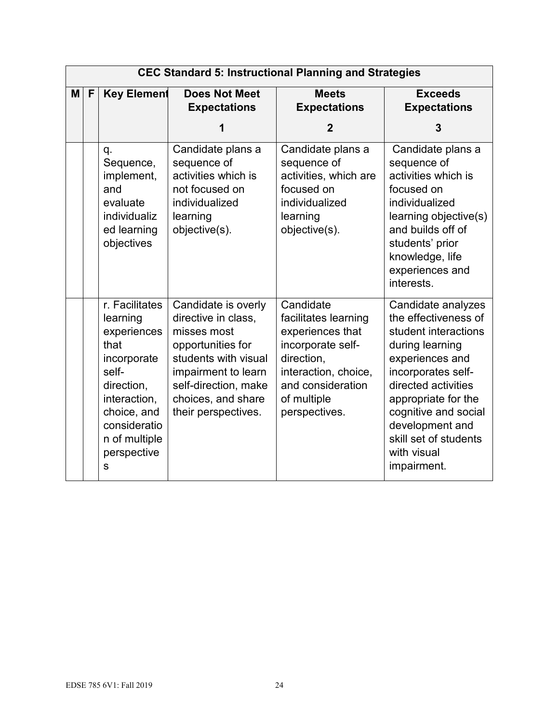|   | <b>CEC Standard 5: Instructional Planning and Strategies</b> |                                                                                                                                                                             |                                                                                                                                                                                                    |                                                                                                                                                                       |                                                                                                                                                                                                                                                                                |  |  |  |
|---|--------------------------------------------------------------|-----------------------------------------------------------------------------------------------------------------------------------------------------------------------------|----------------------------------------------------------------------------------------------------------------------------------------------------------------------------------------------------|-----------------------------------------------------------------------------------------------------------------------------------------------------------------------|--------------------------------------------------------------------------------------------------------------------------------------------------------------------------------------------------------------------------------------------------------------------------------|--|--|--|
| M | $\mathsf{F}$<br><b>Key Element</b>                           |                                                                                                                                                                             | <b>Does Not Meet</b><br><b>Expectations</b>                                                                                                                                                        | <b>Meets</b><br><b>Expectations</b>                                                                                                                                   | <b>Exceeds</b><br><b>Expectations</b>                                                                                                                                                                                                                                          |  |  |  |
|   |                                                              |                                                                                                                                                                             | 1                                                                                                                                                                                                  | $\mathbf 2$                                                                                                                                                           | 3                                                                                                                                                                                                                                                                              |  |  |  |
|   |                                                              | q.<br>Sequence,<br>implement,<br>and<br>evaluate<br>individualiz<br>ed learning<br>objectives                                                                               | Candidate plans a<br>sequence of<br>activities which is<br>not focused on<br>individualized<br>learning<br>objective(s).                                                                           | Candidate plans a<br>sequence of<br>activities, which are<br>focused on<br>individualized<br>learning<br>objective(s).                                                | Candidate plans a<br>sequence of<br>activities which is<br>focused on<br>individualized<br>learning objective(s)<br>and builds off of<br>students' prior<br>knowledge, life<br>experiences and<br>interests.                                                                   |  |  |  |
|   |                                                              | r. Facilitates<br>learning<br>experiences<br>that<br>incorporate<br>self-<br>direction,<br>interaction,<br>choice, and<br>consideratio<br>n of multiple<br>perspective<br>s | Candidate is overly<br>directive in class,<br>misses most<br>opportunities for<br>students with visual<br>impairment to learn<br>self-direction, make<br>choices, and share<br>their perspectives. | Candidate<br>facilitates learning<br>experiences that<br>incorporate self-<br>direction,<br>interaction, choice,<br>and consideration<br>of multiple<br>perspectives. | Candidate analyzes<br>the effectiveness of<br>student interactions<br>during learning<br>experiences and<br>incorporates self-<br>directed activities<br>appropriate for the<br>cognitive and social<br>development and<br>skill set of students<br>with visual<br>impairment. |  |  |  |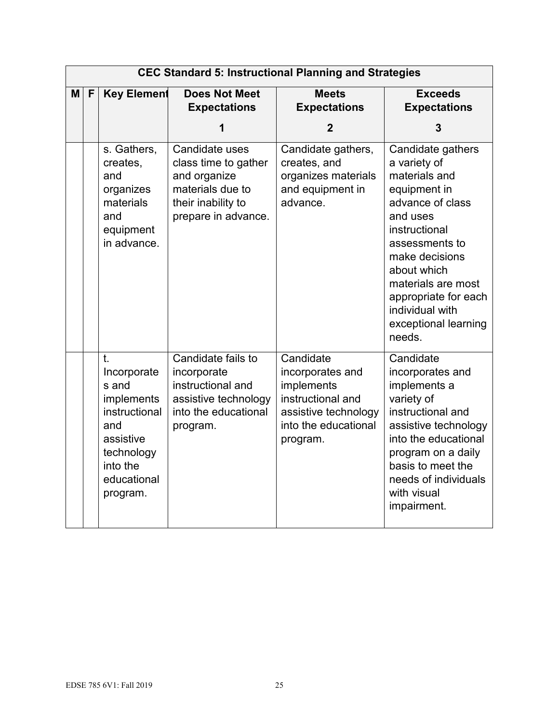|   | <b>CEC Standard 5: Instructional Planning and Strategies</b> |                                                                                                                                    |                                                                                                                         |                                                                                                                              |                                                                                                                                                                                                                                                                           |  |  |  |
|---|--------------------------------------------------------------|------------------------------------------------------------------------------------------------------------------------------------|-------------------------------------------------------------------------------------------------------------------------|------------------------------------------------------------------------------------------------------------------------------|---------------------------------------------------------------------------------------------------------------------------------------------------------------------------------------------------------------------------------------------------------------------------|--|--|--|
| M | F                                                            | <b>Key Element</b>                                                                                                                 | <b>Does Not Meet</b><br><b>Expectations</b>                                                                             | <b>Meets</b><br><b>Expectations</b>                                                                                          | <b>Exceeds</b><br><b>Expectations</b>                                                                                                                                                                                                                                     |  |  |  |
|   |                                                              |                                                                                                                                    | 1                                                                                                                       | $\overline{2}$                                                                                                               | 3                                                                                                                                                                                                                                                                         |  |  |  |
|   |                                                              | s. Gathers,<br>creates,<br>and<br>organizes<br>materials<br>and<br>equipment<br>in advance.                                        | Candidate uses<br>class time to gather<br>and organize<br>materials due to<br>their inability to<br>prepare in advance. | Candidate gathers,<br>creates, and<br>organizes materials<br>and equipment in<br>advance.                                    | Candidate gathers<br>a variety of<br>materials and<br>equipment in<br>advance of class<br>and uses<br>instructional<br>assessments to<br>make decisions<br>about which<br>materials are most<br>appropriate for each<br>individual with<br>exceptional learning<br>needs. |  |  |  |
|   |                                                              | t.<br>Incorporate<br>s and<br>implements<br>instructional<br>and<br>assistive<br>technology<br>into the<br>educational<br>program. | Candidate fails to<br>incorporate<br>instructional and<br>assistive technology<br>into the educational<br>program.      | Candidate<br>incorporates and<br>implements<br>instructional and<br>assistive technology<br>into the educational<br>program. | Candidate<br>incorporates and<br>implements a<br>variety of<br>instructional and<br>assistive technology<br>into the educational<br>program on a daily<br>basis to meet the<br>needs of individuals<br>with visual<br>impairment.                                         |  |  |  |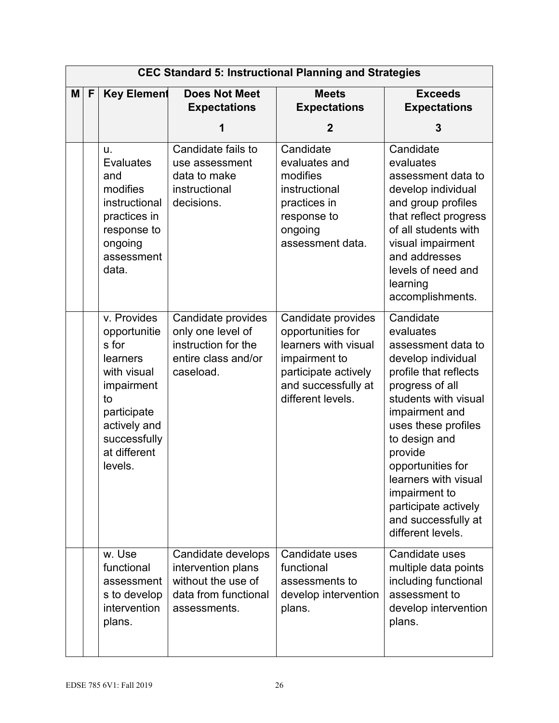|   |              |                                                                                                                                                               |                                                                                                        | <b>CEC Standard 5: Instructional Planning and Strategies</b>                                                                                         |                                                                                                                                                                                                                                                                                                                                               |
|---|--------------|---------------------------------------------------------------------------------------------------------------------------------------------------------------|--------------------------------------------------------------------------------------------------------|------------------------------------------------------------------------------------------------------------------------------------------------------|-----------------------------------------------------------------------------------------------------------------------------------------------------------------------------------------------------------------------------------------------------------------------------------------------------------------------------------------------|
| M | $\mathsf{F}$ | <b>Key Element</b>                                                                                                                                            | <b>Does Not Meet</b><br><b>Expectations</b>                                                            | <b>Meets</b><br><b>Expectations</b>                                                                                                                  | <b>Exceeds</b><br><b>Expectations</b>                                                                                                                                                                                                                                                                                                         |
|   |              |                                                                                                                                                               | 1                                                                                                      | $\mathbf{2}$                                                                                                                                         | 3                                                                                                                                                                                                                                                                                                                                             |
|   |              | u.<br><b>Evaluates</b><br>and<br>modifies<br>instructional<br>practices in<br>response to<br>ongoing<br>assessment<br>data.                                   | Candidate fails to<br>use assessment<br>data to make<br>instructional<br>decisions.                    | Candidate<br>evaluates and<br>modifies<br>instructional<br>practices in<br>response to<br>ongoing<br>assessment data.                                | Candidate<br>evaluates<br>assessment data to<br>develop individual<br>and group profiles<br>that reflect progress<br>of all students with<br>visual impairment<br>and addresses<br>levels of need and<br>learning<br>accomplishments.                                                                                                         |
|   |              | v. Provides<br>opportunitie<br>s for<br>learners<br>with visual<br>impairment<br>to<br>participate<br>actively and<br>successfully<br>at different<br>levels. | Candidate provides<br>only one level of<br>instruction for the<br>entire class and/or<br>caseload.     | Candidate provides<br>opportunities for<br>learners with visual<br>impairment to<br>participate actively<br>and successfully at<br>different levels. | Candidate<br>evaluates<br>assessment data to<br>develop individual<br>profile that reflects<br>progress of all<br>students with visual<br>impairment and<br>uses these profiles<br>to design and<br>provide<br>opportunities for<br>learners with visual<br>impairment to<br>participate actively<br>and successfully at<br>different levels. |
|   |              | w. Use<br>functional<br>assessment<br>s to develop<br>intervention<br>plans.                                                                                  | Candidate develops<br>intervention plans<br>without the use of<br>data from functional<br>assessments. | Candidate uses<br>functional<br>assessments to<br>develop intervention<br>plans.                                                                     | Candidate uses<br>multiple data points<br>including functional<br>assessment to<br>develop intervention<br>plans.                                                                                                                                                                                                                             |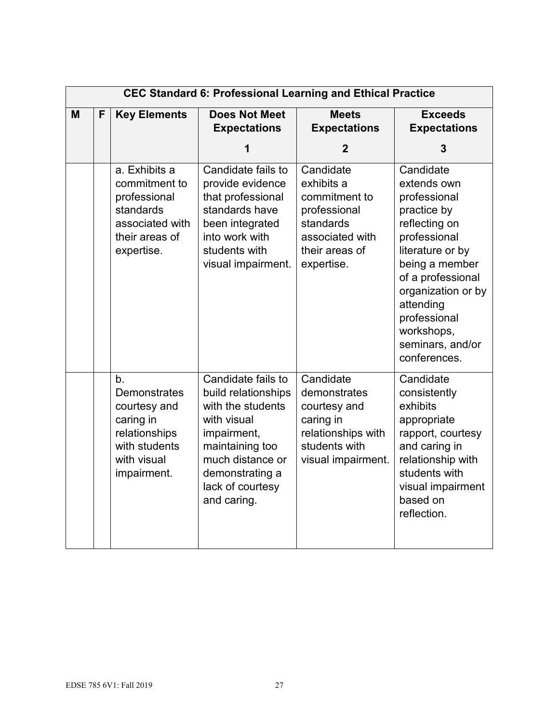|   | <b>CEC Standard 6: Professional Learning and Ethical Practice</b> |                                                                                                                                    |                                                                                                                                                                                           |                                                                                                                          |                                                                                                                                                                                                                                                          |  |  |
|---|-------------------------------------------------------------------|------------------------------------------------------------------------------------------------------------------------------------|-------------------------------------------------------------------------------------------------------------------------------------------------------------------------------------------|--------------------------------------------------------------------------------------------------------------------------|----------------------------------------------------------------------------------------------------------------------------------------------------------------------------------------------------------------------------------------------------------|--|--|
| M | F                                                                 | <b>Key Elements</b>                                                                                                                | <b>Does Not Meet</b><br><b>Expectations</b>                                                                                                                                               | <b>Meets</b><br><b>Expectations</b>                                                                                      | <b>Exceeds</b><br><b>Expectations</b>                                                                                                                                                                                                                    |  |  |
|   |                                                                   |                                                                                                                                    | 1                                                                                                                                                                                         | 2                                                                                                                        | 3                                                                                                                                                                                                                                                        |  |  |
|   |                                                                   | a. Exhibits a<br>commitment to<br>professional<br>standards<br>associated with<br>their areas of<br>expertise.                     | Candidate fails to<br>provide evidence<br>that professional<br>standards have<br>been integrated<br>into work with<br>students with<br>visual impairment.                                 | Candidate<br>exhibits a<br>commitment to<br>professional<br>standards<br>associated with<br>their areas of<br>expertise. | Candidate<br>extends own<br>professional<br>practice by<br>reflecting on<br>professional<br>literature or by<br>being a member<br>of a professional<br>organization or by<br>attending<br>professional<br>workshops,<br>seminars, and/or<br>conferences. |  |  |
|   |                                                                   | b <sub>1</sub><br><b>Demonstrates</b><br>courtesy and<br>caring in<br>relationships<br>with students<br>with visual<br>impairment. | Candidate fails to<br>build relationships<br>with the students<br>with visual<br>impairment,<br>maintaining too<br>much distance or<br>demonstrating a<br>lack of courtesy<br>and caring. | Candidate<br>demonstrates<br>courtesy and<br>caring in<br>relationships with<br>students with<br>visual impairment.      | Candidate<br>consistently<br>exhibits<br>appropriate<br>rapport, courtesy<br>and caring in<br>relationship with<br>students with<br>visual impairment<br>based on<br>reflection.                                                                         |  |  |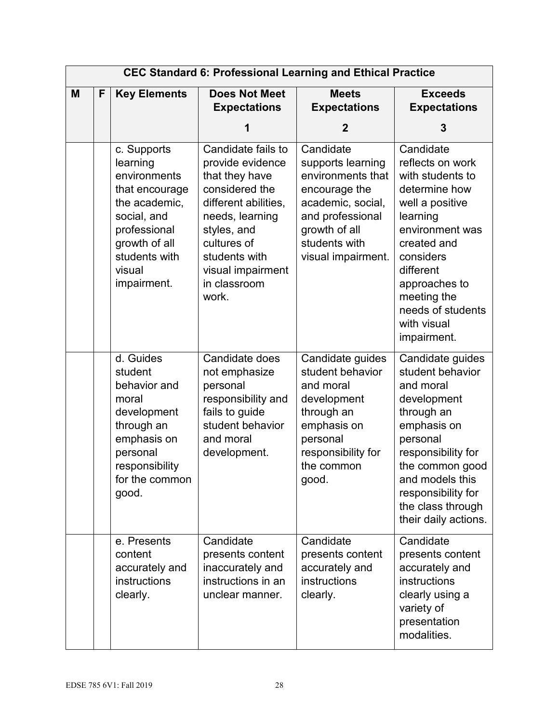|   |   |                                                                                                                                                                      |                                                                                                                                                                                                                    | <b>CEC Standard 6: Professional Learning and Ethical Practice</b>                                                                                                     |                                                                                                                                                                                                                                                  |
|---|---|----------------------------------------------------------------------------------------------------------------------------------------------------------------------|--------------------------------------------------------------------------------------------------------------------------------------------------------------------------------------------------------------------|-----------------------------------------------------------------------------------------------------------------------------------------------------------------------|--------------------------------------------------------------------------------------------------------------------------------------------------------------------------------------------------------------------------------------------------|
| M | F | <b>Key Elements</b>                                                                                                                                                  | <b>Does Not Meet</b><br><b>Expectations</b>                                                                                                                                                                        | <b>Meets</b><br><b>Expectations</b>                                                                                                                                   | <b>Exceeds</b><br><b>Expectations</b>                                                                                                                                                                                                            |
|   |   |                                                                                                                                                                      | 1                                                                                                                                                                                                                  | 2                                                                                                                                                                     | 3                                                                                                                                                                                                                                                |
|   |   | c. Supports<br>learning<br>environments<br>that encourage<br>the academic,<br>social, and<br>professional<br>growth of all<br>students with<br>visual<br>impairment. | Candidate fails to<br>provide evidence<br>that they have<br>considered the<br>different abilities,<br>needs, learning<br>styles, and<br>cultures of<br>students with<br>visual impairment<br>in classroom<br>work. | Candidate<br>supports learning<br>environments that<br>encourage the<br>academic, social,<br>and professional<br>growth of all<br>students with<br>visual impairment. | Candidate<br>reflects on work<br>with students to<br>determine how<br>well a positive<br>learning<br>environment was<br>created and<br>considers<br>different<br>approaches to<br>meeting the<br>needs of students<br>with visual<br>impairment. |
|   |   | d. Guides<br>student<br>behavior and<br>moral<br>development<br>through an<br>emphasis on<br>personal<br>responsibility<br>for the common<br>good.                   | Candidate does<br>not emphasize<br>personal<br>responsibility and<br>fails to guide<br>student behavior<br>and moral<br>development.                                                                               | Candidate guides<br>student behavior<br>and moral<br>development<br>through an<br>emphasis on<br>personal<br>responsibility for<br>the common<br>good.                | Candidate guides<br>student behavior<br>and moral<br>development<br>through an<br>emphasis on<br>personal<br>responsibility for<br>the common good<br>and models this<br>responsibility for<br>the class through<br>their daily actions.         |
|   |   | e. Presents<br>content<br>accurately and<br>instructions<br>clearly.                                                                                                 | Candidate<br>presents content<br>inaccurately and<br>instructions in an<br>unclear manner.                                                                                                                         | Candidate<br>presents content<br>accurately and<br>instructions<br>clearly.                                                                                           | Candidate<br>presents content<br>accurately and<br>instructions<br>clearly using a<br>variety of<br>presentation<br>modalities.                                                                                                                  |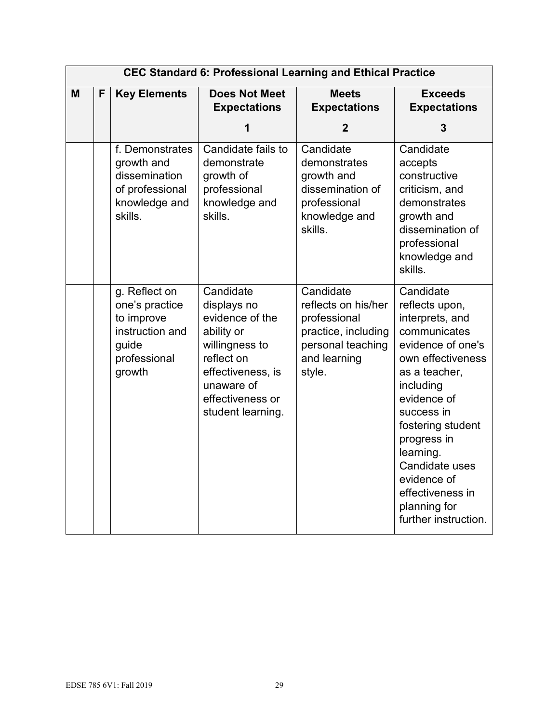|   |   |                                                                                                     |                                                                                                                                                                       | <b>CEC Standard 6: Professional Learning and Ethical Practice</b>                                                      |                                                                                                                                                                                                                                                                                                                   |
|---|---|-----------------------------------------------------------------------------------------------------|-----------------------------------------------------------------------------------------------------------------------------------------------------------------------|------------------------------------------------------------------------------------------------------------------------|-------------------------------------------------------------------------------------------------------------------------------------------------------------------------------------------------------------------------------------------------------------------------------------------------------------------|
| M | F | <b>Key Elements</b>                                                                                 | <b>Does Not Meet</b><br><b>Expectations</b>                                                                                                                           | <b>Meets</b><br><b>Expectations</b>                                                                                    | <b>Exceeds</b><br><b>Expectations</b>                                                                                                                                                                                                                                                                             |
|   |   |                                                                                                     | 1                                                                                                                                                                     | $\mathbf{2}$                                                                                                           | 3                                                                                                                                                                                                                                                                                                                 |
|   |   | f. Demonstrates<br>growth and<br>dissemination<br>of professional<br>knowledge and<br>skills.       | Candidate fails to<br>demonstrate<br>growth of<br>professional<br>knowledge and<br>skills.                                                                            | Candidate<br>demonstrates<br>growth and<br>dissemination of<br>professional<br>knowledge and<br>skills.                | Candidate<br>accepts<br>constructive<br>criticism, and<br>demonstrates<br>growth and<br>dissemination of<br>professional<br>knowledge and<br>skills.                                                                                                                                                              |
|   |   | g. Reflect on<br>one's practice<br>to improve<br>instruction and<br>guide<br>professional<br>growth | Candidate<br>displays no<br>evidence of the<br>ability or<br>willingness to<br>reflect on<br>effectiveness, is<br>unaware of<br>effectiveness or<br>student learning. | Candidate<br>reflects on his/her<br>professional<br>practice, including<br>personal teaching<br>and learning<br>style. | Candidate<br>reflects upon,<br>interprets, and<br>communicates<br>evidence of one's<br>own effectiveness<br>as a teacher,<br>including<br>evidence of<br>success in<br>fostering student<br>progress in<br>learning.<br>Candidate uses<br>evidence of<br>effectiveness in<br>planning for<br>further instruction. |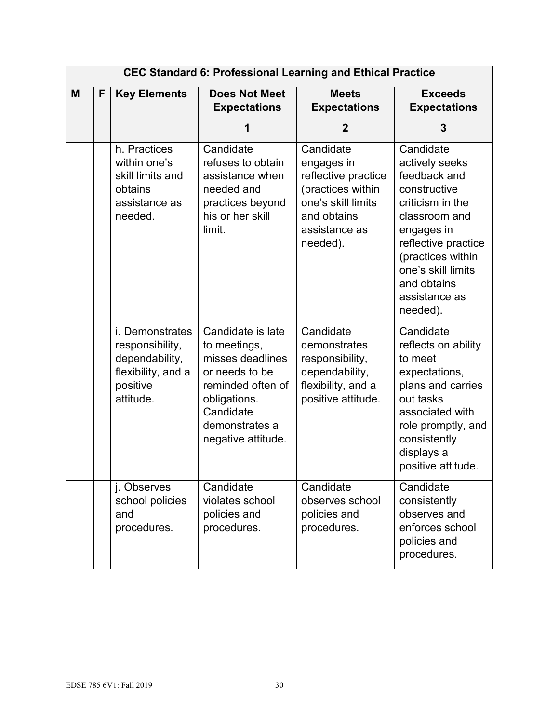|   |   |                                                                                                     |                                                                                                                                                                   | <b>CEC Standard 6: Professional Learning and Ethical Practice</b>                                                                     |                                                                                                                                                                                                                              |
|---|---|-----------------------------------------------------------------------------------------------------|-------------------------------------------------------------------------------------------------------------------------------------------------------------------|---------------------------------------------------------------------------------------------------------------------------------------|------------------------------------------------------------------------------------------------------------------------------------------------------------------------------------------------------------------------------|
| M | F | <b>Key Elements</b>                                                                                 | <b>Does Not Meet</b><br><b>Expectations</b>                                                                                                                       | <b>Meets</b><br><b>Expectations</b>                                                                                                   | <b>Exceeds</b><br><b>Expectations</b>                                                                                                                                                                                        |
|   |   |                                                                                                     | 1                                                                                                                                                                 | $\mathbf{2}$                                                                                                                          | 3                                                                                                                                                                                                                            |
|   |   | h. Practices<br>within one's<br>skill limits and<br>obtains<br>assistance as<br>needed.             | Candidate<br>refuses to obtain<br>assistance when<br>needed and<br>practices beyond<br>his or her skill<br>limit.                                                 | Candidate<br>engages in<br>reflective practice<br>(practices within<br>one's skill limits<br>and obtains<br>assistance as<br>needed). | Candidate<br>actively seeks<br>feedback and<br>constructive<br>criticism in the<br>classroom and<br>engages in<br>reflective practice<br>(practices within<br>one's skill limits<br>and obtains<br>assistance as<br>needed). |
|   |   | i. Demonstrates<br>responsibility,<br>dependability,<br>flexibility, and a<br>positive<br>attitude. | Candidate is late<br>to meetings,<br>misses deadlines<br>or needs to be<br>reminded often of<br>obligations.<br>Candidate<br>demonstrates a<br>negative attitude. | Candidate<br>demonstrates<br>responsibility,<br>dependability,<br>flexibility, and a<br>positive attitude.                            | Candidate<br>reflects on ability<br>to meet<br>expectations,<br>plans and carries<br>out tasks<br>associated with<br>role promptly, and<br>consistently<br>displays a<br>positive attitude.                                  |
|   |   | j. Observes<br>school policies<br>and<br>procedures.                                                | Candidate<br>violates school<br>policies and<br>procedures.                                                                                                       | Candidate<br>observes school<br>policies and<br>procedures.                                                                           | Candidate<br>consistently<br>observes and<br>enforces school<br>policies and<br>procedures.                                                                                                                                  |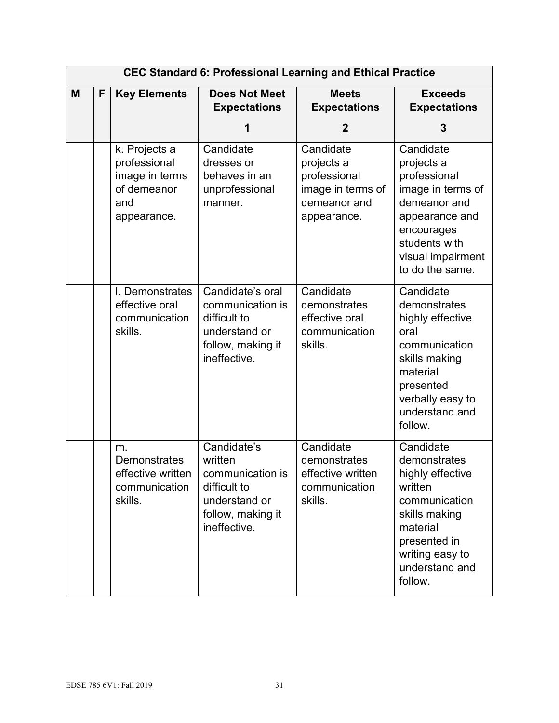|   | <b>CEC Standard 6: Professional Learning and Ethical Practice</b> |                                                                                      |                                                                                                                  |                                                                                             |                                                                                                                                                                        |  |
|---|-------------------------------------------------------------------|--------------------------------------------------------------------------------------|------------------------------------------------------------------------------------------------------------------|---------------------------------------------------------------------------------------------|------------------------------------------------------------------------------------------------------------------------------------------------------------------------|--|
| M | F                                                                 | <b>Key Elements</b>                                                                  | <b>Does Not Meet</b><br><b>Expectations</b>                                                                      | <b>Meets</b><br><b>Expectations</b>                                                         | <b>Exceeds</b><br><b>Expectations</b>                                                                                                                                  |  |
|   |                                                                   |                                                                                      |                                                                                                                  | $\mathbf{2}$                                                                                | 3                                                                                                                                                                      |  |
|   |                                                                   | k. Projects a<br>professional<br>image in terms<br>of demeanor<br>and<br>appearance. | Candidate<br>dresses or<br>behaves in an<br>unprofessional<br>manner.                                            | Candidate<br>projects a<br>professional<br>image in terms of<br>demeanor and<br>appearance. | Candidate<br>projects a<br>professional<br>image in terms of<br>demeanor and<br>appearance and<br>encourages<br>students with<br>visual impairment<br>to do the same.  |  |
|   |                                                                   | I. Demonstrates<br>effective oral<br>communication<br>skills.                        | Candidate's oral<br>communication is<br>difficult to<br>understand or<br>follow, making it<br>ineffective.       | Candidate<br>demonstrates<br>effective oral<br>communication<br>skills.                     | Candidate<br>demonstrates<br>highly effective<br>oral<br>communication<br>skills making<br>material<br>presented<br>verbally easy to<br>understand and<br>follow.      |  |
|   |                                                                   | m.<br><b>Demonstrates</b><br>effective written<br>communication<br>skills.           | Candidate's<br>written<br>communication is<br>difficult to<br>understand or<br>follow, making it<br>ineffective. | Candidate<br>demonstrates<br>effective written<br>communication<br>skills.                  | Candidate<br>demonstrates<br>highly effective<br>written<br>communication<br>skills making<br>material<br>presented in<br>writing easy to<br>understand and<br>follow. |  |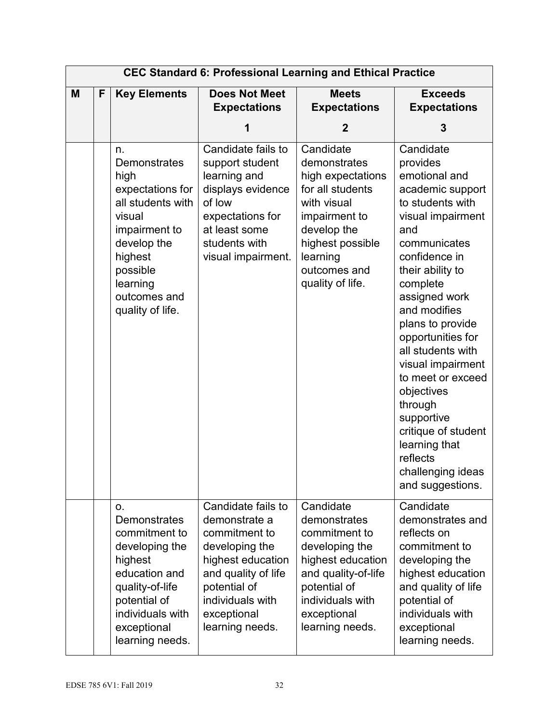|   |   |                                                                                                                                                                                      |                                                                                                                                                                                          | <b>CEC Standard 6: Professional Learning and Ethical Practice</b>                                                                                                                     |                                                                                                                                                                                                                                                                                                                                                                                                                                                          |
|---|---|--------------------------------------------------------------------------------------------------------------------------------------------------------------------------------------|------------------------------------------------------------------------------------------------------------------------------------------------------------------------------------------|---------------------------------------------------------------------------------------------------------------------------------------------------------------------------------------|----------------------------------------------------------------------------------------------------------------------------------------------------------------------------------------------------------------------------------------------------------------------------------------------------------------------------------------------------------------------------------------------------------------------------------------------------------|
| M | F | <b>Key Elements</b>                                                                                                                                                                  | <b>Does Not Meet</b><br><b>Expectations</b>                                                                                                                                              | <b>Meets</b><br><b>Expectations</b>                                                                                                                                                   | <b>Exceeds</b><br><b>Expectations</b>                                                                                                                                                                                                                                                                                                                                                                                                                    |
|   |   |                                                                                                                                                                                      | 1                                                                                                                                                                                        | 2                                                                                                                                                                                     | 3                                                                                                                                                                                                                                                                                                                                                                                                                                                        |
|   |   | n.<br>Demonstrates<br>high<br>expectations for<br>all students with<br>visual<br>impairment to<br>develop the<br>highest<br>possible<br>learning<br>outcomes and<br>quality of life. | Candidate fails to<br>support student<br>learning and<br>displays evidence<br>of low<br>expectations for<br>at least some<br>students with<br>visual impairment.                         | Candidate<br>demonstrates<br>high expectations<br>for all students<br>with visual<br>impairment to<br>develop the<br>highest possible<br>learning<br>outcomes and<br>quality of life. | Candidate<br>provides<br>emotional and<br>academic support<br>to students with<br>visual impairment<br>and<br>communicates<br>confidence in<br>their ability to<br>complete<br>assigned work<br>and modifies<br>plans to provide<br>opportunities for<br>all students with<br>visual impairment<br>to meet or exceed<br>objectives<br>through<br>supportive<br>critique of student<br>learning that<br>reflects<br>challenging ideas<br>and suggestions. |
|   |   | О.<br>Demonstrates<br>commitment to<br>developing the<br>highest<br>education and<br>quality-of-life<br>potential of<br>individuals with<br>exceptional<br>learning needs.           | Candidate fails to<br>demonstrate a<br>commitment to<br>developing the<br>highest education<br>and quality of life<br>potential of<br>individuals with<br>exceptional<br>learning needs. | Candidate<br>demonstrates<br>commitment to<br>developing the<br>highest education<br>and quality-of-life<br>potential of<br>individuals with<br>exceptional<br>learning needs.        | Candidate<br>demonstrates and<br>reflects on<br>commitment to<br>developing the<br>highest education<br>and quality of life<br>potential of<br>individuals with<br>exceptional<br>learning needs.                                                                                                                                                                                                                                                        |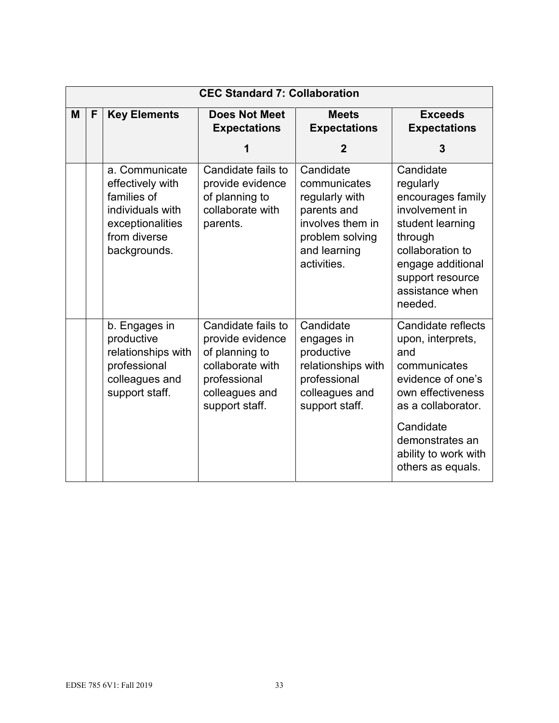|   | <b>CEC Standard 7: Collaboration</b> |                                                                                                                           |                                                                                                                                  |                                                                                                                                  |                                                                                                                                                                                                             |  |
|---|--------------------------------------|---------------------------------------------------------------------------------------------------------------------------|----------------------------------------------------------------------------------------------------------------------------------|----------------------------------------------------------------------------------------------------------------------------------|-------------------------------------------------------------------------------------------------------------------------------------------------------------------------------------------------------------|--|
| M | F                                    | <b>Key Elements</b>                                                                                                       | <b>Does Not Meet</b><br><b>Expectations</b>                                                                                      | <b>Meets</b><br><b>Expectations</b>                                                                                              | <b>Exceeds</b><br><b>Expectations</b>                                                                                                                                                                       |  |
|   |                                      |                                                                                                                           | 1                                                                                                                                | $\mathbf{2}$                                                                                                                     | 3                                                                                                                                                                                                           |  |
|   |                                      | a. Communicate<br>effectively with<br>families of<br>individuals with<br>exceptionalities<br>from diverse<br>backgrounds. | Candidate fails to<br>provide evidence<br>of planning to<br>collaborate with<br>parents.                                         | Candidate<br>communicates<br>regularly with<br>parents and<br>involves them in<br>problem solving<br>and learning<br>activities. | Candidate<br>regularly<br>encourages family<br>involvement in<br>student learning<br>through<br>collaboration to<br>engage additional<br>support resource<br>assistance when<br>needed.                     |  |
|   |                                      | b. Engages in<br>productive<br>relationships with<br>professional<br>colleagues and<br>support staff.                     | Candidate fails to<br>provide evidence<br>of planning to<br>collaborate with<br>professional<br>colleagues and<br>support staff. | Candidate<br>engages in<br>productive<br>relationships with<br>professional<br>colleagues and<br>support staff.                  | Candidate reflects<br>upon, interprets,<br>and<br>communicates<br>evidence of one's<br>own effectiveness<br>as a collaborator.<br>Candidate<br>demonstrates an<br>ability to work with<br>others as equals. |  |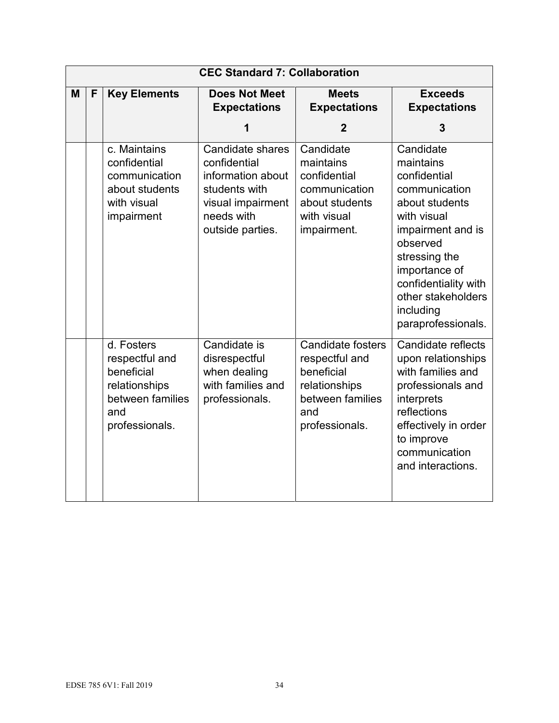|   | <b>CEC Standard 7: Collaboration</b> |                                                                                                          |                                                                                                                               |                                                                                                                        |                                                                                                                                                                                                                                              |  |
|---|--------------------------------------|----------------------------------------------------------------------------------------------------------|-------------------------------------------------------------------------------------------------------------------------------|------------------------------------------------------------------------------------------------------------------------|----------------------------------------------------------------------------------------------------------------------------------------------------------------------------------------------------------------------------------------------|--|
| M | F                                    | <b>Key Elements</b>                                                                                      | <b>Does Not Meet</b><br><b>Expectations</b>                                                                                   | <b>Meets</b><br><b>Expectations</b>                                                                                    | <b>Exceeds</b><br><b>Expectations</b>                                                                                                                                                                                                        |  |
|   |                                      |                                                                                                          | 1                                                                                                                             | $\overline{2}$                                                                                                         | 3                                                                                                                                                                                                                                            |  |
|   |                                      | c. Maintains<br>confidential<br>communication<br>about students<br>with visual<br>impairment             | Candidate shares<br>confidential<br>information about<br>students with<br>visual impairment<br>needs with<br>outside parties. | Candidate<br>maintains<br>confidential<br>communication<br>about students<br>with visual<br>impairment.                | Candidate<br>maintains<br>confidential<br>communication<br>about students<br>with visual<br>impairment and is<br>observed<br>stressing the<br>importance of<br>confidentiality with<br>other stakeholders<br>including<br>paraprofessionals. |  |
|   |                                      | d. Fosters<br>respectful and<br>beneficial<br>relationships<br>between families<br>and<br>professionals. | Candidate is<br>disrespectful<br>when dealing<br>with families and<br>professionals.                                          | <b>Candidate fosters</b><br>respectful and<br>beneficial<br>relationships<br>between families<br>and<br>professionals. | Candidate reflects<br>upon relationships<br>with families and<br>professionals and<br>interprets<br>reflections<br>effectively in order<br>to improve<br>communication<br>and interactions.                                                  |  |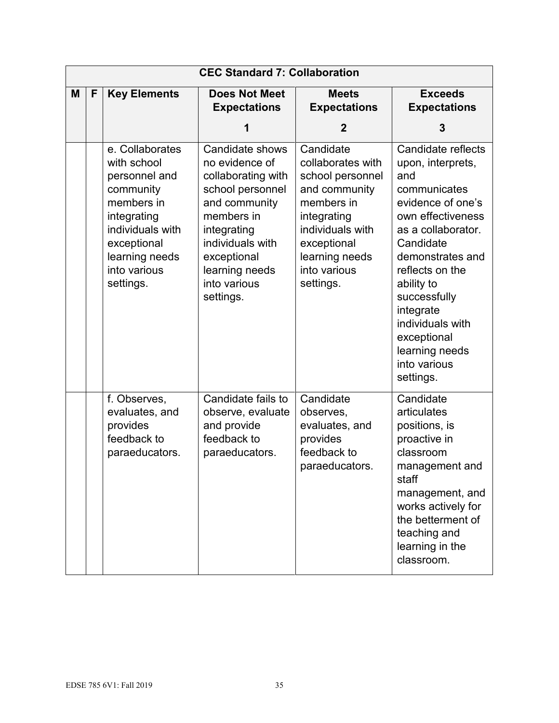|   | <b>CEC Standard 7: Collaboration</b> |                                                                                                                                                                             |                                                                                                                                                                                                             |                                                                                                                                                                                    |                                                                                                                                                                                                                                                                                                                 |  |
|---|--------------------------------------|-----------------------------------------------------------------------------------------------------------------------------------------------------------------------------|-------------------------------------------------------------------------------------------------------------------------------------------------------------------------------------------------------------|------------------------------------------------------------------------------------------------------------------------------------------------------------------------------------|-----------------------------------------------------------------------------------------------------------------------------------------------------------------------------------------------------------------------------------------------------------------------------------------------------------------|--|
| M | F                                    | <b>Key Elements</b>                                                                                                                                                         | <b>Does Not Meet</b><br><b>Expectations</b>                                                                                                                                                                 | <b>Meets</b><br><b>Expectations</b>                                                                                                                                                | <b>Exceeds</b><br><b>Expectations</b>                                                                                                                                                                                                                                                                           |  |
|   |                                      |                                                                                                                                                                             | 1                                                                                                                                                                                                           | $\mathbf{2}$                                                                                                                                                                       | 3                                                                                                                                                                                                                                                                                                               |  |
|   |                                      | e. Collaborates<br>with school<br>personnel and<br>community<br>members in<br>integrating<br>individuals with<br>exceptional<br>learning needs<br>into various<br>settings. | Candidate shows<br>no evidence of<br>collaborating with<br>school personnel<br>and community<br>members in<br>integrating<br>individuals with<br>exceptional<br>learning needs<br>into various<br>settings. | Candidate<br>collaborates with<br>school personnel<br>and community<br>members in<br>integrating<br>individuals with<br>exceptional<br>learning needs<br>into various<br>settings. | Candidate reflects<br>upon, interprets,<br>and<br>communicates<br>evidence of one's<br>own effectiveness<br>as a collaborator.<br>Candidate<br>demonstrates and<br>reflects on the<br>ability to<br>successfully<br>integrate<br>individuals with<br>exceptional<br>learning needs<br>into various<br>settings. |  |
|   |                                      | f. Observes,<br>evaluates, and<br>provides<br>feedback to<br>paraeducators.                                                                                                 | Candidate fails to<br>observe, evaluate<br>and provide<br>feedback to<br>paraeducators.                                                                                                                     | Candidate<br>observes,<br>evaluates, and<br>provides<br>feedback to<br>paraeducators.                                                                                              | Candidate<br>articulates<br>positions, is<br>proactive in<br>classroom<br>management and<br>staff<br>management, and<br>works actively for<br>the betterment of<br>teaching and<br>learning in the<br>classroom.                                                                                                |  |